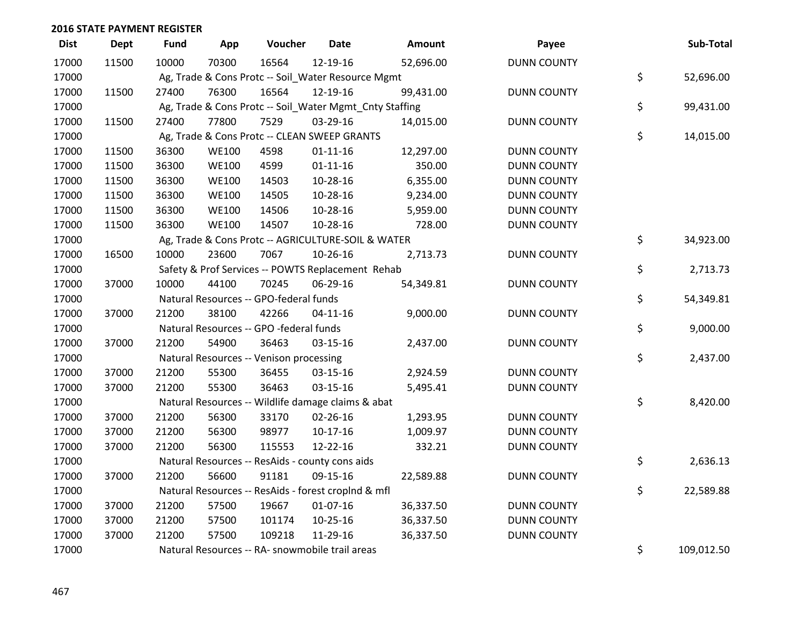| <b>Dist</b> | <b>Dept</b> | Fund  | App          | Voucher                                             | <b>Date</b>    | <b>Amount</b>                                           | Payee              | Sub-Total        |
|-------------|-------------|-------|--------------|-----------------------------------------------------|----------------|---------------------------------------------------------|--------------------|------------------|
| 17000       | 11500       | 10000 | 70300        | 16564                                               | 12-19-16       | 52,696.00                                               | <b>DUNN COUNTY</b> |                  |
| 17000       |             |       |              | Ag, Trade & Cons Protc -- Soil_Water Resource Mgmt  |                |                                                         |                    | \$<br>52,696.00  |
| 17000       | 11500       | 27400 | 76300        | 16564                                               | 12-19-16       | 99,431.00                                               | <b>DUNN COUNTY</b> |                  |
| 17000       |             |       |              |                                                     |                | Ag, Trade & Cons Protc -- Soil_Water Mgmt_Cnty Staffing |                    | \$<br>99,431.00  |
| 17000       | 11500       | 27400 | 77800        | 7529                                                | 03-29-16       | 14,015.00                                               | <b>DUNN COUNTY</b> |                  |
| 17000       |             |       |              | Ag, Trade & Cons Protc -- CLEAN SWEEP GRANTS        |                |                                                         |                    | \$<br>14,015.00  |
| 17000       | 11500       | 36300 | <b>WE100</b> | 4598                                                | $01 - 11 - 16$ | 12,297.00                                               | <b>DUNN COUNTY</b> |                  |
| 17000       | 11500       | 36300 | <b>WE100</b> | 4599                                                | $01 - 11 - 16$ | 350.00                                                  | <b>DUNN COUNTY</b> |                  |
| 17000       | 11500       | 36300 | <b>WE100</b> | 14503                                               | 10-28-16       | 6,355.00                                                | <b>DUNN COUNTY</b> |                  |
| 17000       | 11500       | 36300 | <b>WE100</b> | 14505                                               | 10-28-16       | 9,234.00                                                | <b>DUNN COUNTY</b> |                  |
| 17000       | 11500       | 36300 | <b>WE100</b> | 14506                                               | 10-28-16       | 5,959.00                                                | <b>DUNN COUNTY</b> |                  |
| 17000       | 11500       | 36300 | <b>WE100</b> | 14507                                               | 10-28-16       | 728.00                                                  | <b>DUNN COUNTY</b> |                  |
| 17000       |             |       |              | Ag, Trade & Cons Protc -- AGRICULTURE-SOIL & WATER  |                |                                                         |                    | \$<br>34,923.00  |
| 17000       | 16500       | 10000 | 23600        | 7067                                                | 10-26-16       | 2,713.73                                                | <b>DUNN COUNTY</b> |                  |
| 17000       |             |       |              | Safety & Prof Services -- POWTS Replacement Rehab   |                |                                                         |                    | \$<br>2,713.73   |
| 17000       | 37000       | 10000 | 44100        | 70245                                               | 06-29-16       | 54,349.81                                               | <b>DUNN COUNTY</b> |                  |
| 17000       |             |       |              | Natural Resources -- GPO-federal funds              |                |                                                         |                    | \$<br>54,349.81  |
| 17000       | 37000       | 21200 | 38100        | 42266                                               | $04 - 11 - 16$ | 9,000.00                                                | <b>DUNN COUNTY</b> |                  |
| 17000       |             |       |              | Natural Resources -- GPO -federal funds             |                |                                                         |                    | \$<br>9,000.00   |
| 17000       | 37000       | 21200 | 54900        | 36463                                               | 03-15-16       | 2,437.00                                                | <b>DUNN COUNTY</b> |                  |
| 17000       |             |       |              | Natural Resources -- Venison processing             |                |                                                         |                    | \$<br>2,437.00   |
| 17000       | 37000       | 21200 | 55300        | 36455                                               | 03-15-16       | 2,924.59                                                | <b>DUNN COUNTY</b> |                  |
| 17000       | 37000       | 21200 | 55300        | 36463                                               | 03-15-16       | 5,495.41                                                | <b>DUNN COUNTY</b> |                  |
| 17000       |             |       |              | Natural Resources -- Wildlife damage claims & abat  |                |                                                         |                    | \$<br>8,420.00   |
| 17000       | 37000       | 21200 | 56300        | 33170                                               | $02 - 26 - 16$ | 1,293.95                                                | <b>DUNN COUNTY</b> |                  |
| 17000       | 37000       | 21200 | 56300        | 98977                                               | $10-17-16$     | 1,009.97                                                | <b>DUNN COUNTY</b> |                  |
| 17000       | 37000       | 21200 | 56300        | 115553                                              | 12-22-16       | 332.21                                                  | <b>DUNN COUNTY</b> |                  |
| 17000       |             |       |              | Natural Resources -- ResAids - county cons aids     |                |                                                         |                    | \$<br>2,636.13   |
| 17000       | 37000       | 21200 | 56600        | 91181                                               | 09-15-16       | 22,589.88                                               | <b>DUNN COUNTY</b> |                  |
| 17000       |             |       |              | Natural Resources -- ResAids - forest croplnd & mfl |                |                                                         |                    | \$<br>22,589.88  |
| 17000       | 37000       | 21200 | 57500        | 19667                                               | $01-07-16$     | 36,337.50                                               | <b>DUNN COUNTY</b> |                  |
| 17000       | 37000       | 21200 | 57500        | 101174                                              | 10-25-16       | 36,337.50                                               | <b>DUNN COUNTY</b> |                  |
| 17000       | 37000       | 21200 | 57500        | 109218                                              | 11-29-16       | 36,337.50                                               | <b>DUNN COUNTY</b> |                  |
| 17000       |             |       |              | Natural Resources -- RA- snowmobile trail areas     |                |                                                         |                    | \$<br>109,012.50 |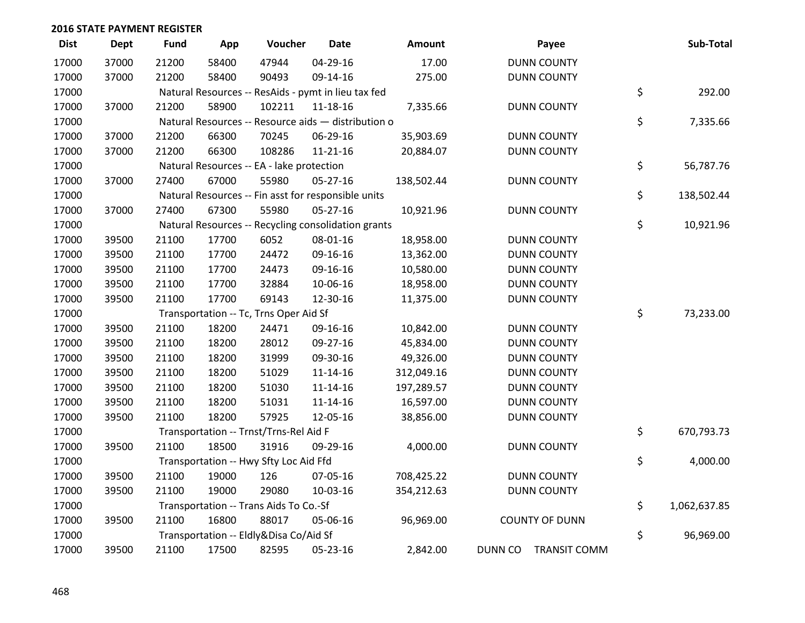| <b>Dist</b> | <b>Dept</b> | <b>Fund</b> | App   | Voucher                                             | <b>Date</b>    | Amount     | Payee                                 | Sub-Total          |
|-------------|-------------|-------------|-------|-----------------------------------------------------|----------------|------------|---------------------------------------|--------------------|
| 17000       | 37000       | 21200       | 58400 | 47944                                               | 04-29-16       | 17.00      | <b>DUNN COUNTY</b>                    |                    |
| 17000       | 37000       | 21200       | 58400 | 90493                                               | 09-14-16       | 275.00     | <b>DUNN COUNTY</b>                    |                    |
| 17000       |             |             |       | Natural Resources -- ResAids - pymt in lieu tax fed |                |            |                                       | \$<br>292.00       |
| 17000       | 37000       | 21200       | 58900 | 102211                                              | $11 - 18 - 16$ | 7,335.66   | <b>DUNN COUNTY</b>                    |                    |
| 17000       |             |             |       | Natural Resources -- Resource aids - distribution o |                |            |                                       | \$<br>7,335.66     |
| 17000       | 37000       | 21200       | 66300 | 70245                                               | 06-29-16       | 35,903.69  | <b>DUNN COUNTY</b>                    |                    |
| 17000       | 37000       | 21200       | 66300 | 108286                                              | 11-21-16       | 20,884.07  | <b>DUNN COUNTY</b>                    |                    |
| 17000       |             |             |       | Natural Resources -- EA - lake protection           |                |            |                                       | \$<br>56,787.76    |
| 17000       | 37000       | 27400       | 67000 | 55980                                               | $05 - 27 - 16$ | 138,502.44 | <b>DUNN COUNTY</b>                    |                    |
| 17000       |             |             |       | Natural Resources -- Fin asst for responsible units |                |            |                                       | \$<br>138,502.44   |
| 17000       | 37000       | 27400       | 67300 | 55980                                               | 05-27-16       | 10,921.96  | <b>DUNN COUNTY</b>                    |                    |
| 17000       |             |             |       | Natural Resources -- Recycling consolidation grants |                |            |                                       | \$<br>10,921.96    |
| 17000       | 39500       | 21100       | 17700 | 6052                                                | 08-01-16       | 18,958.00  | <b>DUNN COUNTY</b>                    |                    |
| 17000       | 39500       | 21100       | 17700 | 24472                                               | 09-16-16       | 13,362.00  | <b>DUNN COUNTY</b>                    |                    |
| 17000       | 39500       | 21100       | 17700 | 24473                                               | 09-16-16       | 10,580.00  | <b>DUNN COUNTY</b>                    |                    |
| 17000       | 39500       | 21100       | 17700 | 32884                                               | 10-06-16       | 18,958.00  | <b>DUNN COUNTY</b>                    |                    |
| 17000       | 39500       | 21100       | 17700 | 69143                                               | 12-30-16       | 11,375.00  | <b>DUNN COUNTY</b>                    |                    |
| 17000       |             |             |       | Transportation -- Tc, Trns Oper Aid Sf              |                |            |                                       | \$<br>73,233.00    |
| 17000       | 39500       | 21100       | 18200 | 24471                                               | 09-16-16       | 10,842.00  | <b>DUNN COUNTY</b>                    |                    |
| 17000       | 39500       | 21100       | 18200 | 28012                                               | 09-27-16       | 45,834.00  | <b>DUNN COUNTY</b>                    |                    |
| 17000       | 39500       | 21100       | 18200 | 31999                                               | 09-30-16       | 49,326.00  | <b>DUNN COUNTY</b>                    |                    |
| 17000       | 39500       | 21100       | 18200 | 51029                                               | $11 - 14 - 16$ | 312,049.16 | <b>DUNN COUNTY</b>                    |                    |
| 17000       | 39500       | 21100       | 18200 | 51030                                               | 11-14-16       | 197,289.57 | <b>DUNN COUNTY</b>                    |                    |
| 17000       | 39500       | 21100       | 18200 | 51031                                               | $11 - 14 - 16$ | 16,597.00  | <b>DUNN COUNTY</b>                    |                    |
| 17000       | 39500       | 21100       | 18200 | 57925                                               | 12-05-16       | 38,856.00  | <b>DUNN COUNTY</b>                    |                    |
| 17000       |             |             |       | Transportation -- Trnst/Trns-Rel Aid F              |                |            |                                       | \$<br>670,793.73   |
| 17000       | 39500       | 21100       | 18500 | 31916                                               | 09-29-16       | 4,000.00   | <b>DUNN COUNTY</b>                    |                    |
| 17000       |             |             |       | Transportation -- Hwy Sfty Loc Aid Ffd              |                |            |                                       | \$<br>4,000.00     |
| 17000       | 39500       | 21100       | 19000 | 126                                                 | 07-05-16       | 708,425.22 | <b>DUNN COUNTY</b>                    |                    |
| 17000       | 39500       | 21100       | 19000 | 29080                                               | 10-03-16       | 354,212.63 | <b>DUNN COUNTY</b>                    |                    |
| 17000       |             |             |       | Transportation -- Trans Aids To Co.-Sf              |                |            |                                       | \$<br>1,062,637.85 |
| 17000       | 39500       | 21100       | 16800 | 88017                                               | 05-06-16       | 96,969.00  | <b>COUNTY OF DUNN</b>                 |                    |
| 17000       |             |             |       | Transportation -- Eldly&Disa Co/Aid Sf              |                |            |                                       | \$<br>96,969.00    |
| 17000       | 39500       | 21100       | 17500 | 82595                                               | 05-23-16       | 2,842.00   | <b>DUNN CO</b><br><b>TRANSIT COMM</b> |                    |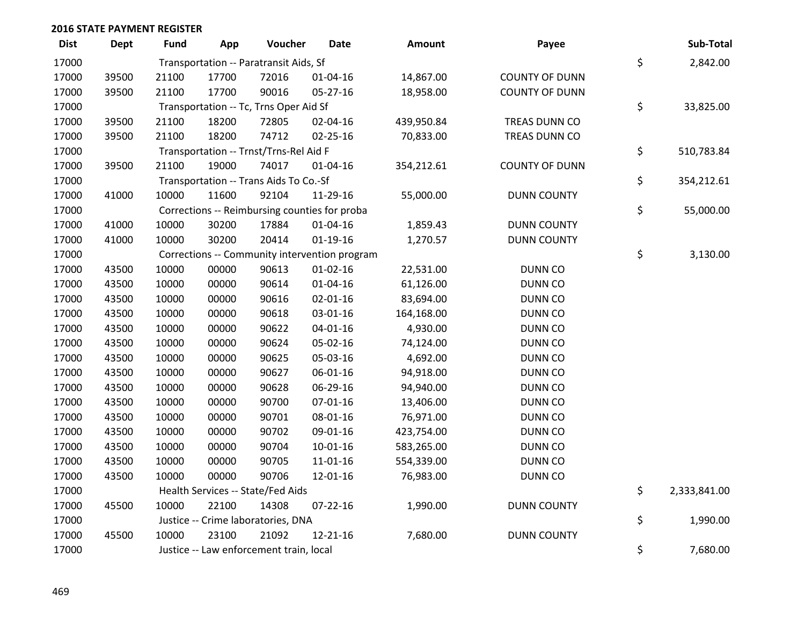| <b>Dist</b> | <b>Dept</b> | <b>Fund</b> | App   | Voucher                                 | <b>Date</b>                                   | <b>Amount</b> | Payee                 | Sub-Total          |
|-------------|-------------|-------------|-------|-----------------------------------------|-----------------------------------------------|---------------|-----------------------|--------------------|
| 17000       |             |             |       | Transportation -- Paratransit Aids, Sf  |                                               |               |                       | \$<br>2,842.00     |
| 17000       | 39500       | 21100       | 17700 | 72016                                   | 01-04-16                                      | 14,867.00     | <b>COUNTY OF DUNN</b> |                    |
| 17000       | 39500       | 21100       | 17700 | 90016                                   | 05-27-16                                      | 18,958.00     | <b>COUNTY OF DUNN</b> |                    |
| 17000       |             |             |       | Transportation -- Tc, Trns Oper Aid Sf  |                                               |               |                       | \$<br>33,825.00    |
| 17000       | 39500       | 21100       | 18200 | 72805                                   | 02-04-16                                      | 439,950.84    | TREAS DUNN CO         |                    |
| 17000       | 39500       | 21100       | 18200 | 74712                                   | $02 - 25 - 16$                                | 70,833.00     | TREAS DUNN CO         |                    |
| 17000       |             |             |       | Transportation -- Trnst/Trns-Rel Aid F  |                                               |               |                       | \$<br>510,783.84   |
| 17000       | 39500       | 21100       | 19000 | 74017                                   | 01-04-16                                      | 354,212.61    | <b>COUNTY OF DUNN</b> |                    |
| 17000       |             |             |       | Transportation -- Trans Aids To Co.-Sf  |                                               |               |                       | \$<br>354,212.61   |
| 17000       | 41000       | 10000       | 11600 | 92104                                   | 11-29-16                                      | 55,000.00     | <b>DUNN COUNTY</b>    |                    |
| 17000       |             |             |       |                                         | Corrections -- Reimbursing counties for proba |               |                       | \$<br>55,000.00    |
| 17000       | 41000       | 10000       | 30200 | 17884                                   | 01-04-16                                      | 1,859.43      | <b>DUNN COUNTY</b>    |                    |
| 17000       | 41000       | 10000       | 30200 | 20414                                   | $01-19-16$                                    | 1,270.57      | <b>DUNN COUNTY</b>    |                    |
| 17000       |             |             |       |                                         | Corrections -- Community intervention program |               |                       | \$<br>3,130.00     |
| 17000       | 43500       | 10000       | 00000 | 90613                                   | $01-02-16$                                    | 22,531.00     | <b>DUNN CO</b>        |                    |
| 17000       | 43500       | 10000       | 00000 | 90614                                   | $01 - 04 - 16$                                | 61,126.00     | <b>DUNN CO</b>        |                    |
| 17000       | 43500       | 10000       | 00000 | 90616                                   | 02-01-16                                      | 83,694.00     | <b>DUNN CO</b>        |                    |
| 17000       | 43500       | 10000       | 00000 | 90618                                   | 03-01-16                                      | 164,168.00    | <b>DUNN CO</b>        |                    |
| 17000       | 43500       | 10000       | 00000 | 90622                                   | $04 - 01 - 16$                                | 4,930.00      | <b>DUNN CO</b>        |                    |
| 17000       | 43500       | 10000       | 00000 | 90624                                   | 05-02-16                                      | 74,124.00     | DUNN CO               |                    |
| 17000       | 43500       | 10000       | 00000 | 90625                                   | 05-03-16                                      | 4,692.00      | DUNN CO               |                    |
| 17000       | 43500       | 10000       | 00000 | 90627                                   | 06-01-16                                      | 94,918.00     | DUNN CO               |                    |
| 17000       | 43500       | 10000       | 00000 | 90628                                   | 06-29-16                                      | 94,940.00     | DUNN CO               |                    |
| 17000       | 43500       | 10000       | 00000 | 90700                                   | 07-01-16                                      | 13,406.00     | <b>DUNN CO</b>        |                    |
| 17000       | 43500       | 10000       | 00000 | 90701                                   | 08-01-16                                      | 76,971.00     | <b>DUNN CO</b>        |                    |
| 17000       | 43500       | 10000       | 00000 | 90702                                   | 09-01-16                                      | 423,754.00    | DUNN CO               |                    |
| 17000       | 43500       | 10000       | 00000 | 90704                                   | $10-01-16$                                    | 583,265.00    | <b>DUNN CO</b>        |                    |
| 17000       | 43500       | 10000       | 00000 | 90705                                   | 11-01-16                                      | 554,339.00    | <b>DUNN CO</b>        |                    |
| 17000       | 43500       | 10000       | 00000 | 90706                                   | 12-01-16                                      | 76,983.00     | <b>DUNN CO</b>        |                    |
| 17000       |             |             |       | Health Services -- State/Fed Aids       |                                               |               |                       | \$<br>2,333,841.00 |
| 17000       | 45500       | 10000       | 22100 | 14308                                   | $07 - 22 - 16$                                | 1,990.00      | <b>DUNN COUNTY</b>    |                    |
| 17000       |             |             |       | Justice -- Crime laboratories, DNA      |                                               |               |                       | \$<br>1,990.00     |
| 17000       | 45500       | 10000       | 23100 | 21092                                   | 12-21-16                                      | 7,680.00      | <b>DUNN COUNTY</b>    |                    |
| 17000       |             |             |       | Justice -- Law enforcement train, local |                                               |               |                       | \$<br>7,680.00     |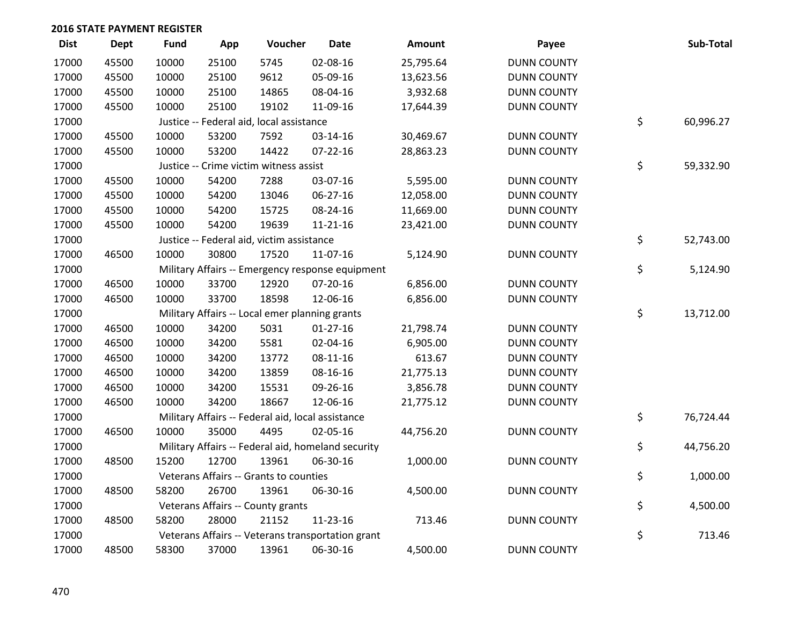| <b>Dist</b> | <b>Dept</b> | <b>Fund</b> | App   | Voucher                                           | <b>Date</b>                                        | <b>Amount</b> | Payee              | Sub-Total       |
|-------------|-------------|-------------|-------|---------------------------------------------------|----------------------------------------------------|---------------|--------------------|-----------------|
| 17000       | 45500       | 10000       | 25100 | 5745                                              | 02-08-16                                           | 25,795.64     | <b>DUNN COUNTY</b> |                 |
| 17000       | 45500       | 10000       | 25100 | 9612                                              | 05-09-16                                           | 13,623.56     | <b>DUNN COUNTY</b> |                 |
| 17000       | 45500       | 10000       | 25100 | 14865                                             | 08-04-16                                           | 3,932.68      | <b>DUNN COUNTY</b> |                 |
| 17000       | 45500       | 10000       | 25100 | 19102                                             | 11-09-16                                           | 17,644.39     | <b>DUNN COUNTY</b> |                 |
| 17000       |             |             |       | Justice -- Federal aid, local assistance          |                                                    |               |                    | \$<br>60,996.27 |
| 17000       | 45500       | 10000       | 53200 | 7592                                              | 03-14-16                                           | 30,469.67     | <b>DUNN COUNTY</b> |                 |
| 17000       | 45500       | 10000       | 53200 | 14422                                             | 07-22-16                                           | 28,863.23     | <b>DUNN COUNTY</b> |                 |
| 17000       |             |             |       | Justice -- Crime victim witness assist            |                                                    |               |                    | \$<br>59,332.90 |
| 17000       | 45500       | 10000       | 54200 | 7288                                              | 03-07-16                                           | 5,595.00      | <b>DUNN COUNTY</b> |                 |
| 17000       | 45500       | 10000       | 54200 | 13046                                             | 06-27-16                                           | 12,058.00     | <b>DUNN COUNTY</b> |                 |
| 17000       | 45500       | 10000       | 54200 | 15725                                             | 08-24-16                                           | 11,669.00     | <b>DUNN COUNTY</b> |                 |
| 17000       | 45500       | 10000       | 54200 | 19639                                             | $11 - 21 - 16$                                     | 23,421.00     | <b>DUNN COUNTY</b> |                 |
| 17000       |             |             |       | Justice -- Federal aid, victim assistance         |                                                    |               |                    | \$<br>52,743.00 |
| 17000       | 46500       | 10000       | 30800 | 17520                                             | 11-07-16                                           | 5,124.90      | <b>DUNN COUNTY</b> |                 |
| 17000       |             |             |       |                                                   | Military Affairs -- Emergency response equipment   |               |                    | \$<br>5,124.90  |
| 17000       | 46500       | 10000       | 33700 | 12920                                             | 07-20-16                                           | 6,856.00      | <b>DUNN COUNTY</b> |                 |
| 17000       | 46500       | 10000       | 33700 | 18598                                             | 12-06-16                                           | 6,856.00      | <b>DUNN COUNTY</b> |                 |
| 17000       |             |             |       | Military Affairs -- Local emer planning grants    |                                                    |               |                    | \$<br>13,712.00 |
| 17000       | 46500       | 10000       | 34200 | 5031                                              | $01-27-16$                                         | 21,798.74     | <b>DUNN COUNTY</b> |                 |
| 17000       | 46500       | 10000       | 34200 | 5581                                              | 02-04-16                                           | 6,905.00      | <b>DUNN COUNTY</b> |                 |
| 17000       | 46500       | 10000       | 34200 | 13772                                             | $08-11-16$                                         | 613.67        | <b>DUNN COUNTY</b> |                 |
| 17000       | 46500       | 10000       | 34200 | 13859                                             | 08-16-16                                           | 21,775.13     | <b>DUNN COUNTY</b> |                 |
| 17000       | 46500       | 10000       | 34200 | 15531                                             | 09-26-16                                           | 3,856.78      | <b>DUNN COUNTY</b> |                 |
| 17000       | 46500       | 10000       | 34200 | 18667                                             | 12-06-16                                           | 21,775.12     | <b>DUNN COUNTY</b> |                 |
| 17000       |             |             |       | Military Affairs -- Federal aid, local assistance |                                                    |               |                    | \$<br>76,724.44 |
| 17000       | 46500       | 10000       | 35000 | 4495                                              | 02-05-16                                           | 44,756.20     | <b>DUNN COUNTY</b> |                 |
| 17000       |             |             |       |                                                   | Military Affairs -- Federal aid, homeland security |               |                    | \$<br>44,756.20 |
| 17000       | 48500       | 15200       | 12700 | 13961                                             | 06-30-16                                           | 1,000.00      | <b>DUNN COUNTY</b> |                 |
| 17000       |             |             |       | Veterans Affairs -- Grants to counties            |                                                    |               |                    | \$<br>1,000.00  |
| 17000       | 48500       | 58200       | 26700 | 13961                                             | 06-30-16                                           | 4,500.00      | <b>DUNN COUNTY</b> |                 |
| 17000       |             |             |       | Veterans Affairs -- County grants                 |                                                    |               |                    | \$<br>4,500.00  |
| 17000       | 48500       | 58200       | 28000 | 21152                                             | 11-23-16                                           | 713.46        | <b>DUNN COUNTY</b> |                 |
| 17000       |             |             |       |                                                   | Veterans Affairs -- Veterans transportation grant  |               |                    | \$<br>713.46    |
| 17000       | 48500       | 58300       | 37000 | 13961                                             | 06-30-16                                           | 4,500.00      | <b>DUNN COUNTY</b> |                 |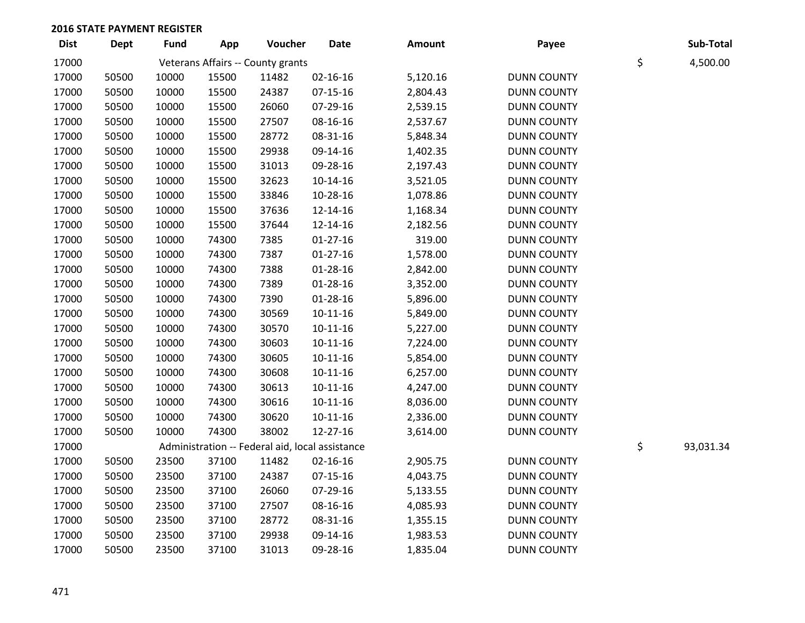| <b>Dist</b> | <b>Dept</b> | <b>Fund</b> | App   | Voucher                                         | <b>Date</b>    | <b>Amount</b> | Payee              | Sub-Total       |
|-------------|-------------|-------------|-------|-------------------------------------------------|----------------|---------------|--------------------|-----------------|
| 17000       |             |             |       | Veterans Affairs -- County grants               |                |               |                    | \$<br>4,500.00  |
| 17000       | 50500       | 10000       | 15500 | 11482                                           | $02 - 16 - 16$ | 5,120.16      | <b>DUNN COUNTY</b> |                 |
| 17000       | 50500       | 10000       | 15500 | 24387                                           | $07 - 15 - 16$ | 2,804.43      | <b>DUNN COUNTY</b> |                 |
| 17000       | 50500       | 10000       | 15500 | 26060                                           | 07-29-16       | 2,539.15      | <b>DUNN COUNTY</b> |                 |
| 17000       | 50500       | 10000       | 15500 | 27507                                           | 08-16-16       | 2,537.67      | <b>DUNN COUNTY</b> |                 |
| 17000       | 50500       | 10000       | 15500 | 28772                                           | 08-31-16       | 5,848.34      | <b>DUNN COUNTY</b> |                 |
| 17000       | 50500       | 10000       | 15500 | 29938                                           | 09-14-16       | 1,402.35      | <b>DUNN COUNTY</b> |                 |
| 17000       | 50500       | 10000       | 15500 | 31013                                           | 09-28-16       | 2,197.43      | <b>DUNN COUNTY</b> |                 |
| 17000       | 50500       | 10000       | 15500 | 32623                                           | $10-14-16$     | 3,521.05      | <b>DUNN COUNTY</b> |                 |
| 17000       | 50500       | 10000       | 15500 | 33846                                           | 10-28-16       | 1,078.86      | <b>DUNN COUNTY</b> |                 |
| 17000       | 50500       | 10000       | 15500 | 37636                                           | 12-14-16       | 1,168.34      | <b>DUNN COUNTY</b> |                 |
| 17000       | 50500       | 10000       | 15500 | 37644                                           | 12-14-16       | 2,182.56      | <b>DUNN COUNTY</b> |                 |
| 17000       | 50500       | 10000       | 74300 | 7385                                            | $01-27-16$     | 319.00        | <b>DUNN COUNTY</b> |                 |
| 17000       | 50500       | 10000       | 74300 | 7387                                            | $01-27-16$     | 1,578.00      | <b>DUNN COUNTY</b> |                 |
| 17000       | 50500       | 10000       | 74300 | 7388                                            | $01 - 28 - 16$ | 2,842.00      | <b>DUNN COUNTY</b> |                 |
| 17000       | 50500       | 10000       | 74300 | 7389                                            | $01 - 28 - 16$ | 3,352.00      | <b>DUNN COUNTY</b> |                 |
| 17000       | 50500       | 10000       | 74300 | 7390                                            | $01 - 28 - 16$ | 5,896.00      | <b>DUNN COUNTY</b> |                 |
| 17000       | 50500       | 10000       | 74300 | 30569                                           | $10-11-16$     | 5,849.00      | <b>DUNN COUNTY</b> |                 |
| 17000       | 50500       | 10000       | 74300 | 30570                                           | $10 - 11 - 16$ | 5,227.00      | <b>DUNN COUNTY</b> |                 |
| 17000       | 50500       | 10000       | 74300 | 30603                                           | $10-11-16$     | 7,224.00      | <b>DUNN COUNTY</b> |                 |
| 17000       | 50500       | 10000       | 74300 | 30605                                           | $10-11-16$     | 5,854.00      | <b>DUNN COUNTY</b> |                 |
| 17000       | 50500       | 10000       | 74300 | 30608                                           | $10-11-16$     | 6,257.00      | <b>DUNN COUNTY</b> |                 |
| 17000       | 50500       | 10000       | 74300 | 30613                                           | $10-11-16$     | 4,247.00      | <b>DUNN COUNTY</b> |                 |
| 17000       | 50500       | 10000       | 74300 | 30616                                           | $10-11-16$     | 8,036.00      | <b>DUNN COUNTY</b> |                 |
| 17000       | 50500       | 10000       | 74300 | 30620                                           | $10-11-16$     | 2,336.00      | <b>DUNN COUNTY</b> |                 |
| 17000       | 50500       | 10000       | 74300 | 38002                                           | 12-27-16       | 3,614.00      | <b>DUNN COUNTY</b> |                 |
| 17000       |             |             |       | Administration -- Federal aid, local assistance |                |               |                    | \$<br>93,031.34 |
| 17000       | 50500       | 23500       | 37100 | 11482                                           | $02 - 16 - 16$ | 2,905.75      | <b>DUNN COUNTY</b> |                 |
| 17000       | 50500       | 23500       | 37100 | 24387                                           | $07 - 15 - 16$ | 4,043.75      | <b>DUNN COUNTY</b> |                 |
| 17000       | 50500       | 23500       | 37100 | 26060                                           | 07-29-16       | 5,133.55      | <b>DUNN COUNTY</b> |                 |
| 17000       | 50500       | 23500       | 37100 | 27507                                           | 08-16-16       | 4,085.93      | <b>DUNN COUNTY</b> |                 |
| 17000       | 50500       | 23500       | 37100 | 28772                                           | 08-31-16       | 1,355.15      | <b>DUNN COUNTY</b> |                 |
| 17000       | 50500       | 23500       | 37100 | 29938                                           | 09-14-16       | 1,983.53      | <b>DUNN COUNTY</b> |                 |
| 17000       | 50500       | 23500       | 37100 | 31013                                           | 09-28-16       | 1,835.04      | <b>DUNN COUNTY</b> |                 |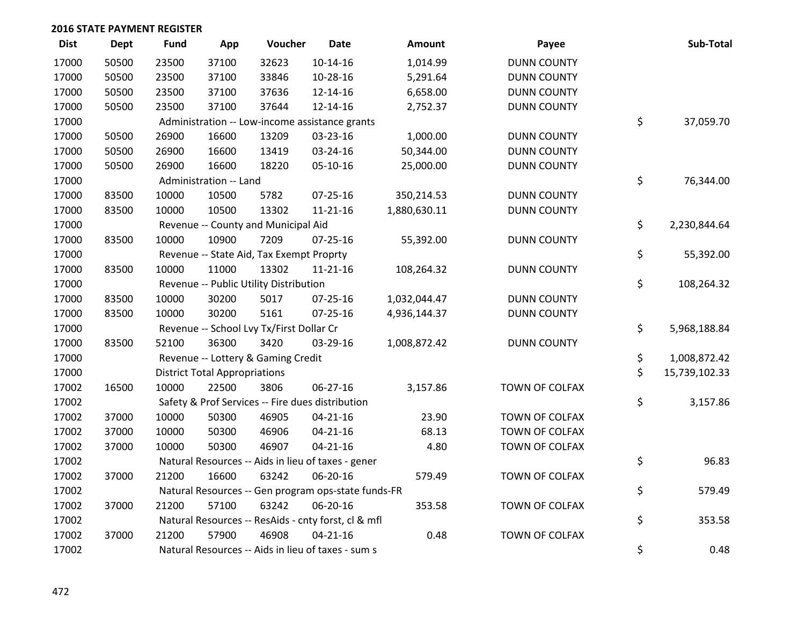| <b>Dist</b> | <b>Dept</b> | <b>Fund</b> | App                                  | Voucher                                             | <b>Date</b>    | <b>Amount</b> | Payee                 | Sub-Total           |
|-------------|-------------|-------------|--------------------------------------|-----------------------------------------------------|----------------|---------------|-----------------------|---------------------|
| 17000       | 50500       | 23500       | 37100                                | 32623                                               | $10-14-16$     | 1,014.99      | <b>DUNN COUNTY</b>    |                     |
| 17000       | 50500       | 23500       | 37100                                | 33846                                               | 10-28-16       | 5,291.64      | <b>DUNN COUNTY</b>    |                     |
| 17000       | 50500       | 23500       | 37100                                | 37636                                               | 12-14-16       | 6,658.00      | <b>DUNN COUNTY</b>    |                     |
| 17000       | 50500       | 23500       | 37100                                | 37644                                               | 12-14-16       | 2,752.37      | <b>DUNN COUNTY</b>    |                     |
| 17000       |             |             |                                      | Administration -- Low-income assistance grants      |                |               |                       | \$<br>37,059.70     |
| 17000       | 50500       | 26900       | 16600                                | 13209                                               | 03-23-16       | 1,000.00      | <b>DUNN COUNTY</b>    |                     |
| 17000       | 50500       | 26900       | 16600                                | 13419                                               | 03-24-16       | 50,344.00     | <b>DUNN COUNTY</b>    |                     |
| 17000       | 50500       | 26900       | 16600                                | 18220                                               | 05-10-16       | 25,000.00     | <b>DUNN COUNTY</b>    |                     |
| 17000       |             |             | Administration -- Land               |                                                     |                |               |                       | \$<br>76,344.00     |
| 17000       | 83500       | 10000       | 10500                                | 5782                                                | 07-25-16       | 350,214.53    | <b>DUNN COUNTY</b>    |                     |
| 17000       | 83500       | 10000       | 10500                                | 13302                                               | $11 - 21 - 16$ | 1,880,630.11  | <b>DUNN COUNTY</b>    |                     |
| 17000       |             |             |                                      | Revenue -- County and Municipal Aid                 |                |               |                       | \$<br>2,230,844.64  |
| 17000       | 83500       | 10000       | 10900                                | 7209                                                | 07-25-16       | 55,392.00     | <b>DUNN COUNTY</b>    |                     |
| 17000       |             |             |                                      | Revenue -- State Aid, Tax Exempt Proprty            |                |               |                       | \$<br>55,392.00     |
| 17000       | 83500       | 10000       | 11000                                | 13302                                               | 11-21-16       | 108,264.32    | <b>DUNN COUNTY</b>    |                     |
| 17000       |             |             |                                      | Revenue -- Public Utility Distribution              |                |               |                       | \$<br>108,264.32    |
| 17000       | 83500       | 10000       | 30200                                | 5017                                                | $07 - 25 - 16$ | 1,032,044.47  | <b>DUNN COUNTY</b>    |                     |
| 17000       | 83500       | 10000       | 30200                                | 5161                                                | $07 - 25 - 16$ | 4,936,144.37  | <b>DUNN COUNTY</b>    |                     |
| 17000       |             |             |                                      | Revenue -- School Lvy Tx/First Dollar Cr            |                |               |                       | \$<br>5,968,188.84  |
| 17000       | 83500       | 52100       | 36300                                | 3420                                                | 03-29-16       | 1,008,872.42  | <b>DUNN COUNTY</b>    |                     |
| 17000       |             |             |                                      | Revenue -- Lottery & Gaming Credit                  |                |               |                       | \$<br>1,008,872.42  |
| 17000       |             |             | <b>District Total Appropriations</b> |                                                     |                |               |                       | \$<br>15,739,102.33 |
| 17002       | 16500       | 10000       | 22500                                | 3806                                                | 06-27-16       | 3,157.86      | TOWN OF COLFAX        |                     |
| 17002       |             |             |                                      | Safety & Prof Services -- Fire dues distribution    |                |               |                       | \$<br>3,157.86      |
| 17002       | 37000       | 10000       | 50300                                | 46905                                               | $04 - 21 - 16$ | 23.90         | TOWN OF COLFAX        |                     |
| 17002       | 37000       | 10000       | 50300                                | 46906                                               | $04 - 21 - 16$ | 68.13         | TOWN OF COLFAX        |                     |
| 17002       | 37000       | 10000       | 50300                                | 46907                                               | $04 - 21 - 16$ | 4.80          | TOWN OF COLFAX        |                     |
| 17002       |             |             |                                      | Natural Resources -- Aids in lieu of taxes - gener  |                |               |                       | \$<br>96.83         |
| 17002       | 37000       | 21200       | 16600                                | 63242                                               | 06-20-16       | 579.49        | TOWN OF COLFAX        |                     |
| 17002       |             |             |                                      | Natural Resources -- Gen program ops-state funds-FR |                |               |                       | \$<br>579.49        |
| 17002       | 37000       | 21200       | 57100                                | 63242                                               | 06-20-16       | 353.58        | <b>TOWN OF COLFAX</b> |                     |
| 17002       |             |             |                                      | Natural Resources -- ResAids - cnty forst, cl & mfl |                |               |                       | \$<br>353.58        |
| 17002       | 37000       | 21200       | 57900                                | 46908                                               | $04 - 21 - 16$ | 0.48          | TOWN OF COLFAX        |                     |
| 17002       |             |             |                                      | Natural Resources -- Aids in lieu of taxes - sum s  |                |               |                       | \$<br>0.48          |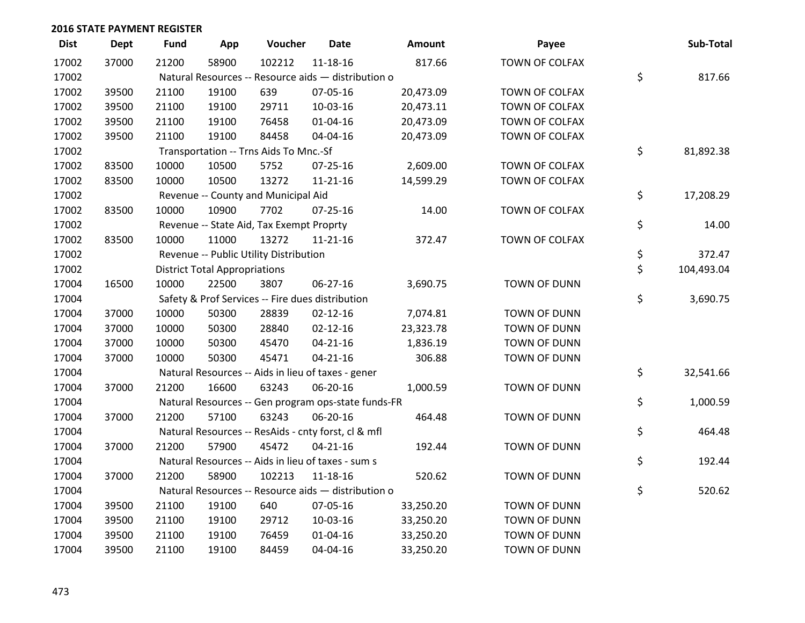| <b>Dist</b> | <b>Dept</b> | <b>Fund</b> | App                                  | Voucher                                             | <b>Date</b>    | Amount    | Payee               | Sub-Total        |
|-------------|-------------|-------------|--------------------------------------|-----------------------------------------------------|----------------|-----------|---------------------|------------------|
| 17002       | 37000       | 21200       | 58900                                | 102212                                              | 11-18-16       | 817.66    | TOWN OF COLFAX      |                  |
| 17002       |             |             |                                      | Natural Resources -- Resource aids - distribution o |                |           |                     | \$<br>817.66     |
| 17002       | 39500       | 21100       | 19100                                | 639                                                 | 07-05-16       | 20,473.09 | TOWN OF COLFAX      |                  |
| 17002       | 39500       | 21100       | 19100                                | 29711                                               | 10-03-16       | 20,473.11 | TOWN OF COLFAX      |                  |
| 17002       | 39500       | 21100       | 19100                                | 76458                                               | $01 - 04 - 16$ | 20,473.09 | TOWN OF COLFAX      |                  |
| 17002       | 39500       | 21100       | 19100                                | 84458                                               | 04-04-16       | 20,473.09 | TOWN OF COLFAX      |                  |
| 17002       |             |             |                                      | Transportation -- Trns Aids To Mnc.-Sf              |                |           |                     | \$<br>81,892.38  |
| 17002       | 83500       | 10000       | 10500                                | 5752                                                | $07 - 25 - 16$ | 2,609.00  | TOWN OF COLFAX      |                  |
| 17002       | 83500       | 10000       | 10500                                | 13272                                               | 11-21-16       | 14,599.29 | TOWN OF COLFAX      |                  |
| 17002       |             |             |                                      | Revenue -- County and Municipal Aid                 |                |           |                     | \$<br>17,208.29  |
| 17002       | 83500       | 10000       | 10900                                | 7702                                                | 07-25-16       | 14.00     | TOWN OF COLFAX      |                  |
| 17002       |             |             |                                      | Revenue -- State Aid, Tax Exempt Proprty            |                |           |                     | \$<br>14.00      |
| 17002       | 83500       | 10000       | 11000                                | 13272                                               | $11 - 21 - 16$ | 372.47    | TOWN OF COLFAX      |                  |
| 17002       |             |             |                                      | Revenue -- Public Utility Distribution              |                |           |                     | \$<br>372.47     |
| 17002       |             |             | <b>District Total Appropriations</b> |                                                     |                |           |                     | \$<br>104,493.04 |
| 17004       | 16500       | 10000       | 22500                                | 3807                                                | 06-27-16       | 3,690.75  | <b>TOWN OF DUNN</b> |                  |
| 17004       |             |             |                                      | Safety & Prof Services -- Fire dues distribution    |                |           |                     | \$<br>3,690.75   |
| 17004       | 37000       | 10000       | 50300                                | 28839                                               | $02 - 12 - 16$ | 7,074.81  | <b>TOWN OF DUNN</b> |                  |
| 17004       | 37000       | 10000       | 50300                                | 28840                                               | $02 - 12 - 16$ | 23,323.78 | TOWN OF DUNN        |                  |
| 17004       | 37000       | 10000       | 50300                                | 45470                                               | $04 - 21 - 16$ | 1,836.19  | TOWN OF DUNN        |                  |
| 17004       | 37000       | 10000       | 50300                                | 45471                                               | $04 - 21 - 16$ | 306.88    | TOWN OF DUNN        |                  |
| 17004       |             |             |                                      | Natural Resources -- Aids in lieu of taxes - gener  |                |           |                     | \$<br>32,541.66  |
| 17004       | 37000       | 21200       | 16600                                | 63243                                               | 06-20-16       | 1,000.59  | TOWN OF DUNN        |                  |
| 17004       |             |             |                                      | Natural Resources -- Gen program ops-state funds-FR |                |           |                     | \$<br>1,000.59   |
| 17004       | 37000       | 21200       | 57100                                | 63243                                               | 06-20-16       | 464.48    | TOWN OF DUNN        |                  |
| 17004       |             |             |                                      | Natural Resources -- ResAids - cnty forst, cl & mfl |                |           |                     | \$<br>464.48     |
| 17004       | 37000       | 21200       | 57900                                | 45472                                               | $04 - 21 - 16$ | 192.44    | TOWN OF DUNN        |                  |
| 17004       |             |             |                                      | Natural Resources -- Aids in lieu of taxes - sum s  |                |           |                     | \$<br>192.44     |
| 17004       | 37000       | 21200       | 58900                                | 102213                                              | 11-18-16       | 520.62    | TOWN OF DUNN        |                  |
| 17004       |             |             |                                      | Natural Resources -- Resource aids - distribution o |                |           |                     | \$<br>520.62     |
| 17004       | 39500       | 21100       | 19100                                | 640                                                 | 07-05-16       | 33,250.20 | <b>TOWN OF DUNN</b> |                  |
| 17004       | 39500       | 21100       | 19100                                | 29712                                               | 10-03-16       | 33,250.20 | TOWN OF DUNN        |                  |
| 17004       | 39500       | 21100       | 19100                                | 76459                                               | $01 - 04 - 16$ | 33,250.20 | TOWN OF DUNN        |                  |
| 17004       | 39500       | 21100       | 19100                                | 84459                                               | 04-04-16       | 33,250.20 | TOWN OF DUNN        |                  |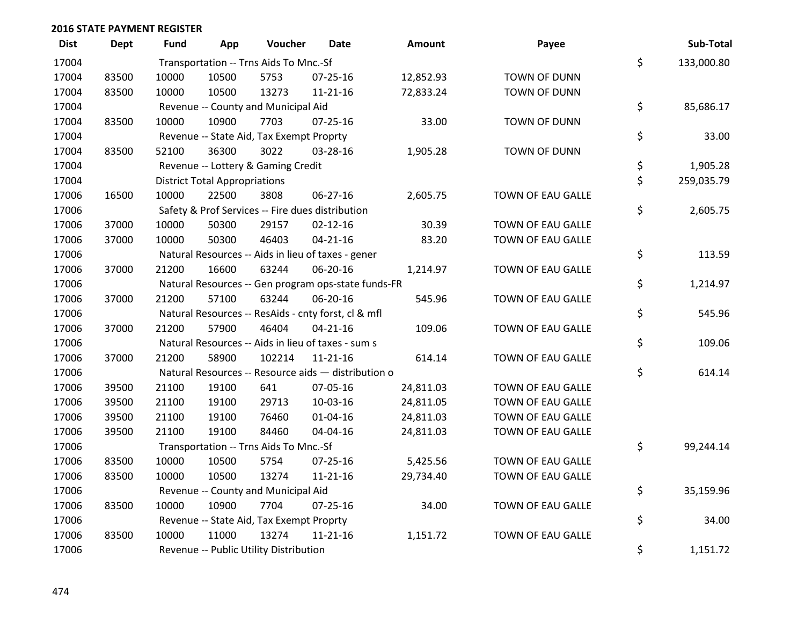| <b>Dist</b> | <b>Dept</b> | Fund  | App                                  | Voucher                                  | <b>Date</b>                                         | Amount    | Payee               | Sub-Total        |
|-------------|-------------|-------|--------------------------------------|------------------------------------------|-----------------------------------------------------|-----------|---------------------|------------------|
| 17004       |             |       |                                      | Transportation -- Trns Aids To Mnc.-Sf   |                                                     |           |                     | \$<br>133,000.80 |
| 17004       | 83500       | 10000 | 10500                                | 5753                                     | 07-25-16                                            | 12,852.93 | <b>TOWN OF DUNN</b> |                  |
| 17004       | 83500       | 10000 | 10500                                | 13273                                    | $11 - 21 - 16$                                      | 72,833.24 | <b>TOWN OF DUNN</b> |                  |
| 17004       |             |       |                                      | Revenue -- County and Municipal Aid      |                                                     |           |                     | \$<br>85,686.17  |
| 17004       | 83500       | 10000 | 10900                                | 7703                                     | $07 - 25 - 16$                                      | 33.00     | <b>TOWN OF DUNN</b> |                  |
| 17004       |             |       |                                      | Revenue -- State Aid, Tax Exempt Proprty |                                                     |           |                     | \$<br>33.00      |
| 17004       | 83500       | 52100 | 36300                                | 3022                                     | 03-28-16                                            | 1,905.28  | <b>TOWN OF DUNN</b> |                  |
| 17004       |             |       |                                      | Revenue -- Lottery & Gaming Credit       |                                                     |           |                     | \$<br>1,905.28   |
| 17004       |             |       | <b>District Total Appropriations</b> |                                          |                                                     |           |                     | \$<br>259,035.79 |
| 17006       | 16500       | 10000 | 22500                                | 3808                                     | 06-27-16                                            | 2,605.75  | TOWN OF EAU GALLE   |                  |
| 17006       |             |       |                                      |                                          | Safety & Prof Services -- Fire dues distribution    |           |                     | \$<br>2,605.75   |
| 17006       | 37000       | 10000 | 50300                                | 29157                                    | $02 - 12 - 16$                                      | 30.39     | TOWN OF EAU GALLE   |                  |
| 17006       | 37000       | 10000 | 50300                                | 46403                                    | $04 - 21 - 16$                                      | 83.20     | TOWN OF EAU GALLE   |                  |
| 17006       |             |       |                                      |                                          | Natural Resources -- Aids in lieu of taxes - gener  |           |                     | \$<br>113.59     |
| 17006       | 37000       | 21200 | 16600                                | 63244                                    | 06-20-16                                            | 1,214.97  | TOWN OF EAU GALLE   |                  |
| 17006       |             |       |                                      |                                          | Natural Resources -- Gen program ops-state funds-FR |           |                     | \$<br>1,214.97   |
| 17006       | 37000       | 21200 | 57100                                | 63244                                    | 06-20-16                                            | 545.96    | TOWN OF EAU GALLE   |                  |
| 17006       |             |       |                                      |                                          | Natural Resources -- ResAids - cnty forst, cl & mfl |           |                     | \$<br>545.96     |
| 17006       | 37000       | 21200 | 57900                                | 46404                                    | $04 - 21 - 16$                                      | 109.06    | TOWN OF EAU GALLE   |                  |
| 17006       |             |       |                                      |                                          | Natural Resources -- Aids in lieu of taxes - sum s  |           |                     | \$<br>109.06     |
| 17006       | 37000       | 21200 | 58900                                | 102214                                   | $11 - 21 - 16$                                      | 614.14    | TOWN OF EAU GALLE   |                  |
| 17006       |             |       |                                      |                                          | Natural Resources -- Resource aids - distribution o |           |                     | \$<br>614.14     |
| 17006       | 39500       | 21100 | 19100                                | 641                                      | 07-05-16                                            | 24,811.03 | TOWN OF EAU GALLE   |                  |
| 17006       | 39500       | 21100 | 19100                                | 29713                                    | 10-03-16                                            | 24,811.05 | TOWN OF EAU GALLE   |                  |
| 17006       | 39500       | 21100 | 19100                                | 76460                                    | $01 - 04 - 16$                                      | 24,811.03 | TOWN OF EAU GALLE   |                  |
| 17006       | 39500       | 21100 | 19100                                | 84460                                    | 04-04-16                                            | 24,811.03 | TOWN OF EAU GALLE   |                  |
| 17006       |             |       |                                      | Transportation -- Trns Aids To Mnc.-Sf   |                                                     |           |                     | \$<br>99,244.14  |
| 17006       | 83500       | 10000 | 10500                                | 5754                                     | 07-25-16                                            | 5,425.56  | TOWN OF EAU GALLE   |                  |
| 17006       | 83500       | 10000 | 10500                                | 13274                                    | $11 - 21 - 16$                                      | 29,734.40 | TOWN OF EAU GALLE   |                  |
| 17006       |             |       |                                      | Revenue -- County and Municipal Aid      |                                                     |           |                     | \$<br>35,159.96  |
| 17006       | 83500       | 10000 | 10900                                | 7704                                     | 07-25-16                                            | 34.00     | TOWN OF EAU GALLE   |                  |
| 17006       |             |       |                                      | Revenue -- State Aid, Tax Exempt Proprty |                                                     |           |                     | \$<br>34.00      |
| 17006       | 83500       | 10000 | 11000                                | 13274                                    | $11 - 21 - 16$                                      | 1,151.72  | TOWN OF EAU GALLE   |                  |
| 17006       |             |       |                                      | Revenue -- Public Utility Distribution   |                                                     |           |                     | \$<br>1,151.72   |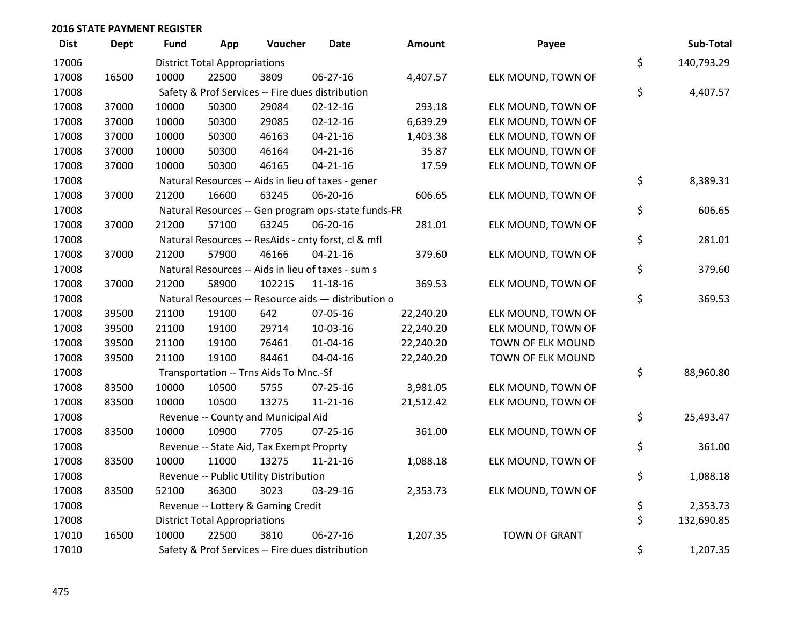| <b>Dist</b> | <b>Dept</b> | <b>Fund</b> | App                                  | Voucher                                  | <b>Date</b>                                         | Amount    | Payee                | Sub-Total        |
|-------------|-------------|-------------|--------------------------------------|------------------------------------------|-----------------------------------------------------|-----------|----------------------|------------------|
| 17006       |             |             | <b>District Total Appropriations</b> |                                          |                                                     |           |                      | \$<br>140,793.29 |
| 17008       | 16500       | 10000       | 22500                                | 3809                                     | 06-27-16                                            | 4,407.57  | ELK MOUND, TOWN OF   |                  |
| 17008       |             |             |                                      |                                          | Safety & Prof Services -- Fire dues distribution    |           |                      | \$<br>4,407.57   |
| 17008       | 37000       | 10000       | 50300                                | 29084                                    | $02 - 12 - 16$                                      | 293.18    | ELK MOUND, TOWN OF   |                  |
| 17008       | 37000       | 10000       | 50300                                | 29085                                    | $02 - 12 - 16$                                      | 6,639.29  | ELK MOUND, TOWN OF   |                  |
| 17008       | 37000       | 10000       | 50300                                | 46163                                    | $04 - 21 - 16$                                      | 1,403.38  | ELK MOUND, TOWN OF   |                  |
| 17008       | 37000       | 10000       | 50300                                | 46164                                    | $04 - 21 - 16$                                      | 35.87     | ELK MOUND, TOWN OF   |                  |
| 17008       | 37000       | 10000       | 50300                                | 46165                                    | $04 - 21 - 16$                                      | 17.59     | ELK MOUND, TOWN OF   |                  |
| 17008       |             |             |                                      |                                          | Natural Resources -- Aids in lieu of taxes - gener  |           |                      | \$<br>8,389.31   |
| 17008       | 37000       | 21200       | 16600                                | 63245                                    | 06-20-16                                            | 606.65    | ELK MOUND, TOWN OF   |                  |
| 17008       |             |             |                                      |                                          | Natural Resources -- Gen program ops-state funds-FR |           |                      | \$<br>606.65     |
| 17008       | 37000       | 21200       | 57100                                | 63245                                    | 06-20-16                                            | 281.01    | ELK MOUND, TOWN OF   |                  |
| 17008       |             |             |                                      |                                          | Natural Resources -- ResAids - cnty forst, cl & mfl |           |                      | \$<br>281.01     |
| 17008       | 37000       | 21200       | 57900                                | 46166                                    | $04 - 21 - 16$                                      | 379.60    | ELK MOUND, TOWN OF   |                  |
| 17008       |             |             |                                      |                                          | Natural Resources -- Aids in lieu of taxes - sum s  |           |                      | \$<br>379.60     |
| 17008       | 37000       | 21200       | 58900                                | 102215                                   | $11 - 18 - 16$                                      | 369.53    | ELK MOUND, TOWN OF   |                  |
| 17008       |             |             |                                      |                                          | Natural Resources -- Resource aids - distribution o |           |                      | \$<br>369.53     |
| 17008       | 39500       | 21100       | 19100                                | 642                                      | 07-05-16                                            | 22,240.20 | ELK MOUND, TOWN OF   |                  |
| 17008       | 39500       | 21100       | 19100                                | 29714                                    | 10-03-16                                            | 22,240.20 | ELK MOUND, TOWN OF   |                  |
| 17008       | 39500       | 21100       | 19100                                | 76461                                    | $01 - 04 - 16$                                      | 22,240.20 | TOWN OF ELK MOUND    |                  |
| 17008       | 39500       | 21100       | 19100                                | 84461                                    | 04-04-16                                            | 22,240.20 | TOWN OF ELK MOUND    |                  |
| 17008       |             |             |                                      | Transportation -- Trns Aids To Mnc.-Sf   |                                                     |           |                      | \$<br>88,960.80  |
| 17008       | 83500       | 10000       | 10500                                | 5755                                     | $07 - 25 - 16$                                      | 3,981.05  | ELK MOUND, TOWN OF   |                  |
| 17008       | 83500       | 10000       | 10500                                | 13275                                    | $11 - 21 - 16$                                      | 21,512.42 | ELK MOUND, TOWN OF   |                  |
| 17008       |             |             |                                      | Revenue -- County and Municipal Aid      |                                                     |           |                      | \$<br>25,493.47  |
| 17008       | 83500       | 10000       | 10900                                | 7705                                     | $07 - 25 - 16$                                      | 361.00    | ELK MOUND, TOWN OF   |                  |
| 17008       |             |             |                                      | Revenue -- State Aid, Tax Exempt Proprty |                                                     |           |                      | \$<br>361.00     |
| 17008       | 83500       | 10000       | 11000                                | 13275                                    | $11 - 21 - 16$                                      | 1,088.18  | ELK MOUND, TOWN OF   |                  |
| 17008       |             |             |                                      | Revenue -- Public Utility Distribution   |                                                     |           |                      | \$<br>1,088.18   |
| 17008       | 83500       | 52100       | 36300                                | 3023                                     | 03-29-16                                            | 2,353.73  | ELK MOUND, TOWN OF   |                  |
| 17008       |             |             |                                      | Revenue -- Lottery & Gaming Credit       |                                                     |           |                      | \$<br>2,353.73   |
| 17008       |             |             | <b>District Total Appropriations</b> |                                          |                                                     |           |                      | \$<br>132,690.85 |
| 17010       | 16500       | 10000       | 22500                                | 3810                                     | 06-27-16                                            | 1,207.35  | <b>TOWN OF GRANT</b> |                  |
| 17010       |             |             |                                      |                                          | Safety & Prof Services -- Fire dues distribution    |           |                      | \$<br>1,207.35   |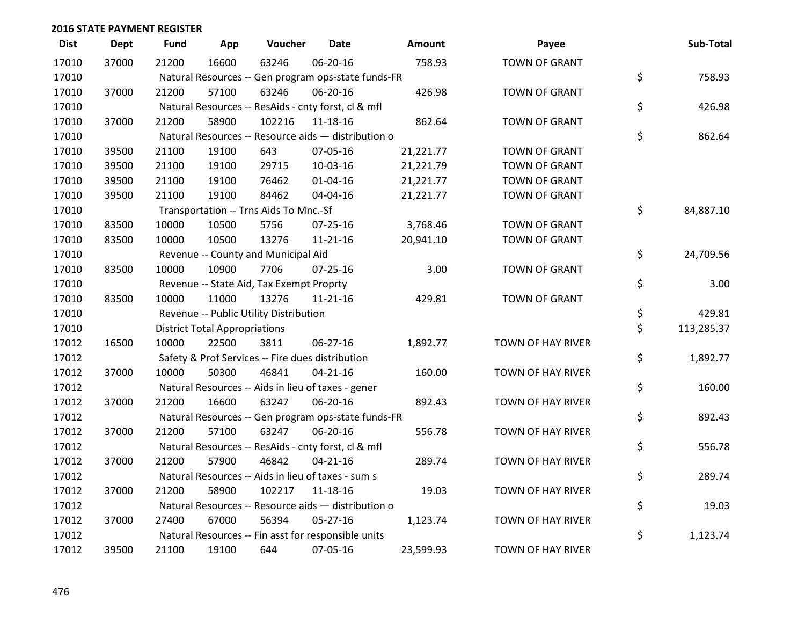| <b>Dist</b> | <b>Dept</b> | <b>Fund</b> | App                                  | Voucher                                             | <b>Date</b>    | Amount    | Payee                    | Sub-Total        |
|-------------|-------------|-------------|--------------------------------------|-----------------------------------------------------|----------------|-----------|--------------------------|------------------|
| 17010       | 37000       | 21200       | 16600                                | 63246                                               | 06-20-16       | 758.93    | <b>TOWN OF GRANT</b>     |                  |
| 17010       |             |             |                                      | Natural Resources -- Gen program ops-state funds-FR |                |           |                          | \$<br>758.93     |
| 17010       | 37000       | 21200       | 57100                                | 63246                                               | 06-20-16       | 426.98    | <b>TOWN OF GRANT</b>     |                  |
| 17010       |             |             |                                      | Natural Resources -- ResAids - cnty forst, cl & mfl |                |           |                          | \$<br>426.98     |
| 17010       | 37000       | 21200       | 58900                                | 102216                                              | 11-18-16       | 862.64    | <b>TOWN OF GRANT</b>     |                  |
| 17010       |             |             |                                      | Natural Resources -- Resource aids - distribution o |                |           |                          | \$<br>862.64     |
| 17010       | 39500       | 21100       | 19100                                | 643                                                 | 07-05-16       | 21,221.77 | <b>TOWN OF GRANT</b>     |                  |
| 17010       | 39500       | 21100       | 19100                                | 29715                                               | 10-03-16       | 21,221.79 | <b>TOWN OF GRANT</b>     |                  |
| 17010       | 39500       | 21100       | 19100                                | 76462                                               | $01 - 04 - 16$ | 21,221.77 | <b>TOWN OF GRANT</b>     |                  |
| 17010       | 39500       | 21100       | 19100                                | 84462                                               | 04-04-16       | 21,221.77 | <b>TOWN OF GRANT</b>     |                  |
| 17010       |             |             |                                      | Transportation -- Trns Aids To Mnc.-Sf              |                |           |                          | \$<br>84,887.10  |
| 17010       | 83500       | 10000       | 10500                                | 5756                                                | $07 - 25 - 16$ | 3,768.46  | <b>TOWN OF GRANT</b>     |                  |
| 17010       | 83500       | 10000       | 10500                                | 13276                                               | $11 - 21 - 16$ | 20,941.10 | <b>TOWN OF GRANT</b>     |                  |
| 17010       |             |             |                                      | Revenue -- County and Municipal Aid                 |                |           |                          | \$<br>24,709.56  |
| 17010       | 83500       | 10000       | 10900                                | 7706                                                | $07 - 25 - 16$ | 3.00      | <b>TOWN OF GRANT</b>     |                  |
| 17010       |             |             |                                      | Revenue -- State Aid, Tax Exempt Proprty            |                |           |                          | \$<br>3.00       |
| 17010       | 83500       | 10000       | 11000                                | 13276                                               | $11 - 21 - 16$ | 429.81    | <b>TOWN OF GRANT</b>     |                  |
| 17010       |             |             |                                      | Revenue -- Public Utility Distribution              |                |           |                          | \$<br>429.81     |
| 17010       |             |             | <b>District Total Appropriations</b> |                                                     |                |           |                          | \$<br>113,285.37 |
| 17012       | 16500       | 10000       | 22500                                | 3811                                                | 06-27-16       | 1,892.77  | TOWN OF HAY RIVER        |                  |
| 17012       |             |             |                                      | Safety & Prof Services -- Fire dues distribution    |                |           |                          | \$<br>1,892.77   |
| 17012       | 37000       | 10000       | 50300                                | 46841                                               | $04 - 21 - 16$ | 160.00    | TOWN OF HAY RIVER        |                  |
| 17012       |             |             |                                      | Natural Resources -- Aids in lieu of taxes - gener  |                |           |                          | \$<br>160.00     |
| 17012       | 37000       | 21200       | 16600                                | 63247                                               | 06-20-16       | 892.43    | TOWN OF HAY RIVER        |                  |
| 17012       |             |             |                                      | Natural Resources -- Gen program ops-state funds-FR |                |           |                          | \$<br>892.43     |
| 17012       | 37000       | 21200       | 57100                                | 63247                                               | 06-20-16       | 556.78    | TOWN OF HAY RIVER        |                  |
| 17012       |             |             |                                      | Natural Resources -- ResAids - cnty forst, cl & mfl |                |           |                          | \$<br>556.78     |
| 17012       | 37000       | 21200       | 57900                                | 46842                                               | $04 - 21 - 16$ | 289.74    | <b>TOWN OF HAY RIVER</b> |                  |
| 17012       |             |             |                                      | Natural Resources -- Aids in lieu of taxes - sum s  |                |           |                          | \$<br>289.74     |
| 17012       | 37000       | 21200       | 58900                                | 102217                                              | 11-18-16       | 19.03     | TOWN OF HAY RIVER        |                  |
| 17012       |             |             |                                      | Natural Resources -- Resource aids - distribution o |                |           |                          | \$<br>19.03      |
| 17012       | 37000       | 27400       | 67000                                | 56394                                               | 05-27-16       | 1,123.74  | <b>TOWN OF HAY RIVER</b> |                  |
| 17012       |             |             |                                      | Natural Resources -- Fin asst for responsible units |                |           |                          | \$<br>1,123.74   |
| 17012       | 39500       | 21100       | 19100                                | 644                                                 | 07-05-16       | 23,599.93 | TOWN OF HAY RIVER        |                  |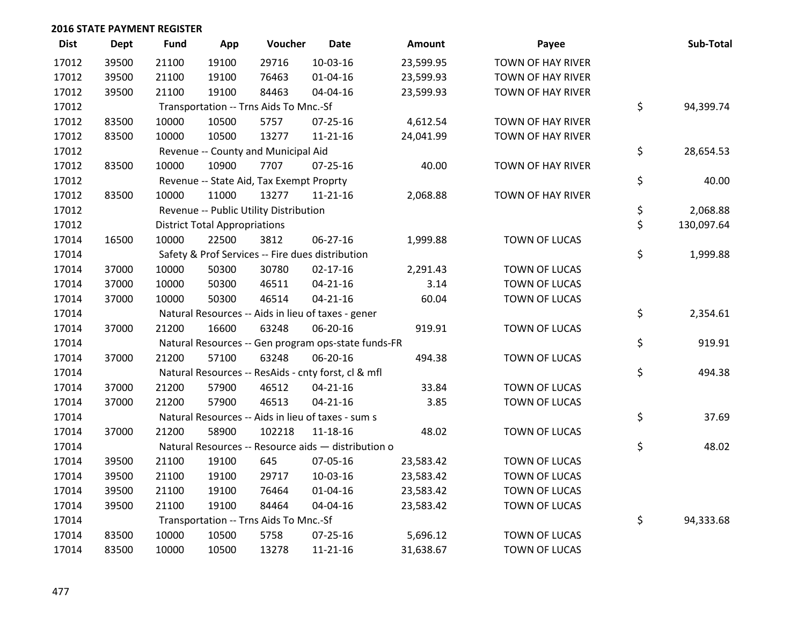| <b>Dist</b> | <b>Dept</b> | Fund  | App                                  | Voucher                                  | <b>Date</b>                                         | <b>Amount</b> | Payee                    | Sub-Total        |
|-------------|-------------|-------|--------------------------------------|------------------------------------------|-----------------------------------------------------|---------------|--------------------------|------------------|
| 17012       | 39500       | 21100 | 19100                                | 29716                                    | 10-03-16                                            | 23,599.95     | TOWN OF HAY RIVER        |                  |
| 17012       | 39500       | 21100 | 19100                                | 76463                                    | $01 - 04 - 16$                                      | 23,599.93     | TOWN OF HAY RIVER        |                  |
| 17012       | 39500       | 21100 | 19100                                | 84463                                    | 04-04-16                                            | 23,599.93     | TOWN OF HAY RIVER        |                  |
| 17012       |             |       |                                      | Transportation -- Trns Aids To Mnc.-Sf   |                                                     |               |                          | \$<br>94,399.74  |
| 17012       | 83500       | 10000 | 10500                                | 5757                                     | 07-25-16                                            | 4,612.54      | TOWN OF HAY RIVER        |                  |
| 17012       | 83500       | 10000 | 10500                                | 13277                                    | $11 - 21 - 16$                                      | 24,041.99     | <b>TOWN OF HAY RIVER</b> |                  |
| 17012       |             |       |                                      | Revenue -- County and Municipal Aid      |                                                     |               |                          | \$<br>28,654.53  |
| 17012       | 83500       | 10000 | 10900                                | 7707                                     | $07 - 25 - 16$                                      | 40.00         | TOWN OF HAY RIVER        |                  |
| 17012       |             |       |                                      | Revenue -- State Aid, Tax Exempt Proprty |                                                     |               |                          | \$<br>40.00      |
| 17012       | 83500       | 10000 | 11000                                | 13277                                    | $11 - 21 - 16$                                      | 2,068.88      | TOWN OF HAY RIVER        |                  |
| 17012       |             |       |                                      | Revenue -- Public Utility Distribution   |                                                     |               |                          | \$<br>2,068.88   |
| 17012       |             |       | <b>District Total Appropriations</b> |                                          |                                                     |               |                          | \$<br>130,097.64 |
| 17014       | 16500       | 10000 | 22500                                | 3812                                     | 06-27-16                                            | 1,999.88      | <b>TOWN OF LUCAS</b>     |                  |
| 17014       |             |       |                                      |                                          | Safety & Prof Services -- Fire dues distribution    |               |                          | \$<br>1,999.88   |
| 17014       | 37000       | 10000 | 50300                                | 30780                                    | $02 - 17 - 16$                                      | 2,291.43      | <b>TOWN OF LUCAS</b>     |                  |
| 17014       | 37000       | 10000 | 50300                                | 46511                                    | $04 - 21 - 16$                                      | 3.14          | <b>TOWN OF LUCAS</b>     |                  |
| 17014       | 37000       | 10000 | 50300                                | 46514                                    | $04 - 21 - 16$                                      | 60.04         | <b>TOWN OF LUCAS</b>     |                  |
| 17014       |             |       |                                      |                                          | Natural Resources -- Aids in lieu of taxes - gener  |               |                          | \$<br>2,354.61   |
| 17014       | 37000       | 21200 | 16600                                | 63248                                    | 06-20-16                                            | 919.91        | <b>TOWN OF LUCAS</b>     |                  |
| 17014       |             |       |                                      |                                          | Natural Resources -- Gen program ops-state funds-FR |               |                          | \$<br>919.91     |
| 17014       | 37000       | 21200 | 57100                                | 63248                                    | 06-20-16                                            | 494.38        | <b>TOWN OF LUCAS</b>     |                  |
| 17014       |             |       |                                      |                                          | Natural Resources -- ResAids - cnty forst, cl & mfl |               |                          | \$<br>494.38     |
| 17014       | 37000       | 21200 | 57900                                | 46512                                    | $04 - 21 - 16$                                      | 33.84         | TOWN OF LUCAS            |                  |
| 17014       | 37000       | 21200 | 57900                                | 46513                                    | $04 - 21 - 16$                                      | 3.85          | TOWN OF LUCAS            |                  |
| 17014       |             |       |                                      |                                          | Natural Resources -- Aids in lieu of taxes - sum s  |               |                          | \$<br>37.69      |
| 17014       | 37000       | 21200 | 58900                                | 102218                                   | 11-18-16                                            | 48.02         | <b>TOWN OF LUCAS</b>     |                  |
| 17014       |             |       |                                      |                                          | Natural Resources -- Resource aids - distribution o |               |                          | \$<br>48.02      |
| 17014       | 39500       | 21100 | 19100                                | 645                                      | 07-05-16                                            | 23,583.42     | <b>TOWN OF LUCAS</b>     |                  |
| 17014       | 39500       | 21100 | 19100                                | 29717                                    | 10-03-16                                            | 23,583.42     | TOWN OF LUCAS            |                  |
| 17014       | 39500       | 21100 | 19100                                | 76464                                    | $01 - 04 - 16$                                      | 23,583.42     | TOWN OF LUCAS            |                  |
| 17014       | 39500       | 21100 | 19100                                | 84464                                    | 04-04-16                                            | 23,583.42     | TOWN OF LUCAS            |                  |
| 17014       |             |       |                                      | Transportation -- Trns Aids To Mnc.-Sf   |                                                     |               |                          | \$<br>94,333.68  |
| 17014       | 83500       | 10000 | 10500                                | 5758                                     | $07 - 25 - 16$                                      | 5,696.12      | <b>TOWN OF LUCAS</b>     |                  |
| 17014       | 83500       | 10000 | 10500                                | 13278                                    | $11 - 21 - 16$                                      | 31,638.67     | <b>TOWN OF LUCAS</b>     |                  |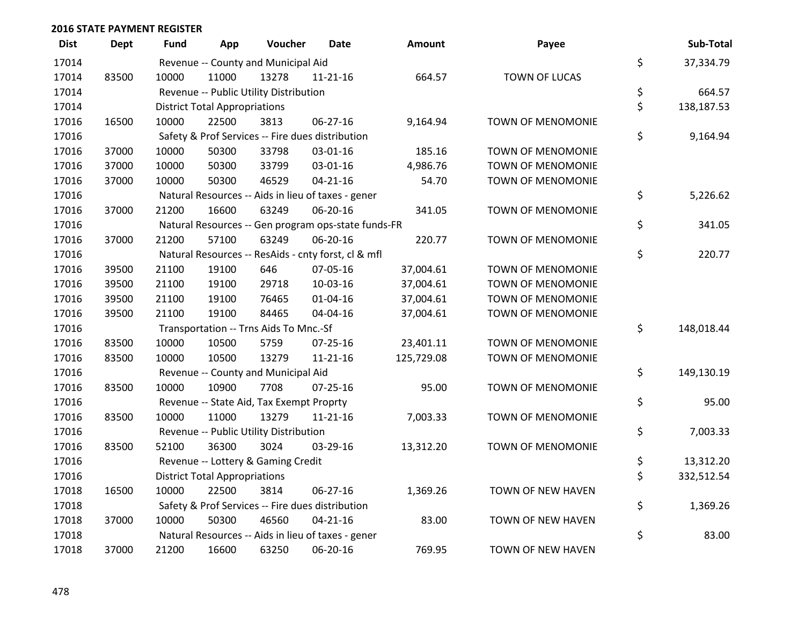| <b>Dist</b> | <b>Dept</b> | <b>Fund</b> | App                                  | Voucher                                  | <b>Date</b>                                         | Amount     | Payee                    | Sub-Total        |
|-------------|-------------|-------------|--------------------------------------|------------------------------------------|-----------------------------------------------------|------------|--------------------------|------------------|
| 17014       |             |             |                                      | Revenue -- County and Municipal Aid      |                                                     |            |                          | \$<br>37,334.79  |
| 17014       | 83500       | 10000       | 11000                                | 13278                                    | $11 - 21 - 16$                                      | 664.57     | <b>TOWN OF LUCAS</b>     |                  |
| 17014       |             |             |                                      | Revenue -- Public Utility Distribution   |                                                     |            |                          | \$<br>664.57     |
| 17014       |             |             | <b>District Total Appropriations</b> |                                          |                                                     |            |                          | \$<br>138,187.53 |
| 17016       | 16500       | 10000       | 22500                                | 3813                                     | 06-27-16                                            | 9,164.94   | TOWN OF MENOMONIE        |                  |
| 17016       |             |             |                                      |                                          | Safety & Prof Services -- Fire dues distribution    |            |                          | \$<br>9,164.94   |
| 17016       | 37000       | 10000       | 50300                                | 33798                                    | 03-01-16                                            | 185.16     | <b>TOWN OF MENOMONIE</b> |                  |
| 17016       | 37000       | 10000       | 50300                                | 33799                                    | 03-01-16                                            | 4,986.76   | <b>TOWN OF MENOMONIE</b> |                  |
| 17016       | 37000       | 10000       | 50300                                | 46529                                    | $04 - 21 - 16$                                      | 54.70      | TOWN OF MENOMONIE        |                  |
| 17016       |             |             |                                      |                                          | Natural Resources -- Aids in lieu of taxes - gener  |            |                          | \$<br>5,226.62   |
| 17016       | 37000       | 21200       | 16600                                | 63249                                    | 06-20-16                                            | 341.05     | TOWN OF MENOMONIE        |                  |
| 17016       |             |             |                                      |                                          | Natural Resources -- Gen program ops-state funds-FR |            |                          | \$<br>341.05     |
| 17016       | 37000       | 21200       | 57100                                | 63249                                    | 06-20-16                                            | 220.77     | TOWN OF MENOMONIE        |                  |
| 17016       |             |             |                                      |                                          | Natural Resources -- ResAids - cnty forst, cl & mfl |            |                          | \$<br>220.77     |
| 17016       | 39500       | 21100       | 19100                                | 646                                      | 07-05-16                                            | 37,004.61  | TOWN OF MENOMONIE        |                  |
| 17016       | 39500       | 21100       | 19100                                | 29718                                    | 10-03-16                                            | 37,004.61  | <b>TOWN OF MENOMONIE</b> |                  |
| 17016       | 39500       | 21100       | 19100                                | 76465                                    | $01 - 04 - 16$                                      | 37,004.61  | TOWN OF MENOMONIE        |                  |
| 17016       | 39500       | 21100       | 19100                                | 84465                                    | 04-04-16                                            | 37,004.61  | TOWN OF MENOMONIE        |                  |
| 17016       |             |             |                                      | Transportation -- Trns Aids To Mnc.-Sf   |                                                     |            |                          | \$<br>148,018.44 |
| 17016       | 83500       | 10000       | 10500                                | 5759                                     | 07-25-16                                            | 23,401.11  | <b>TOWN OF MENOMONIE</b> |                  |
| 17016       | 83500       | 10000       | 10500                                | 13279                                    | $11 - 21 - 16$                                      | 125,729.08 | TOWN OF MENOMONIE        |                  |
| 17016       |             |             |                                      | Revenue -- County and Municipal Aid      |                                                     |            |                          | \$<br>149,130.19 |
| 17016       | 83500       | 10000       | 10900                                | 7708                                     | $07 - 25 - 16$                                      | 95.00      | <b>TOWN OF MENOMONIE</b> |                  |
| 17016       |             |             |                                      | Revenue -- State Aid, Tax Exempt Proprty |                                                     |            |                          | \$<br>95.00      |
| 17016       | 83500       | 10000       | 11000                                | 13279                                    | $11 - 21 - 16$                                      | 7,003.33   | TOWN OF MENOMONIE        |                  |
| 17016       |             |             |                                      | Revenue -- Public Utility Distribution   |                                                     |            |                          | \$<br>7,003.33   |
| 17016       | 83500       | 52100       | 36300                                | 3024                                     | 03-29-16                                            | 13,312.20  | TOWN OF MENOMONIE        |                  |
| 17016       |             |             |                                      | Revenue -- Lottery & Gaming Credit       |                                                     |            |                          | \$<br>13,312.20  |
| 17016       |             |             | <b>District Total Appropriations</b> |                                          |                                                     |            |                          | \$<br>332,512.54 |
| 17018       | 16500       | 10000       | 22500                                | 3814                                     | 06-27-16                                            | 1,369.26   | TOWN OF NEW HAVEN        |                  |
| 17018       |             |             |                                      |                                          | Safety & Prof Services -- Fire dues distribution    |            |                          | \$<br>1,369.26   |
| 17018       | 37000       | 10000       | 50300                                | 46560                                    | $04 - 21 - 16$                                      | 83.00      | TOWN OF NEW HAVEN        |                  |
| 17018       |             |             |                                      |                                          | Natural Resources -- Aids in lieu of taxes - gener  |            |                          | \$<br>83.00      |
| 17018       | 37000       | 21200       | 16600                                | 63250                                    | 06-20-16                                            | 769.95     | TOWN OF NEW HAVEN        |                  |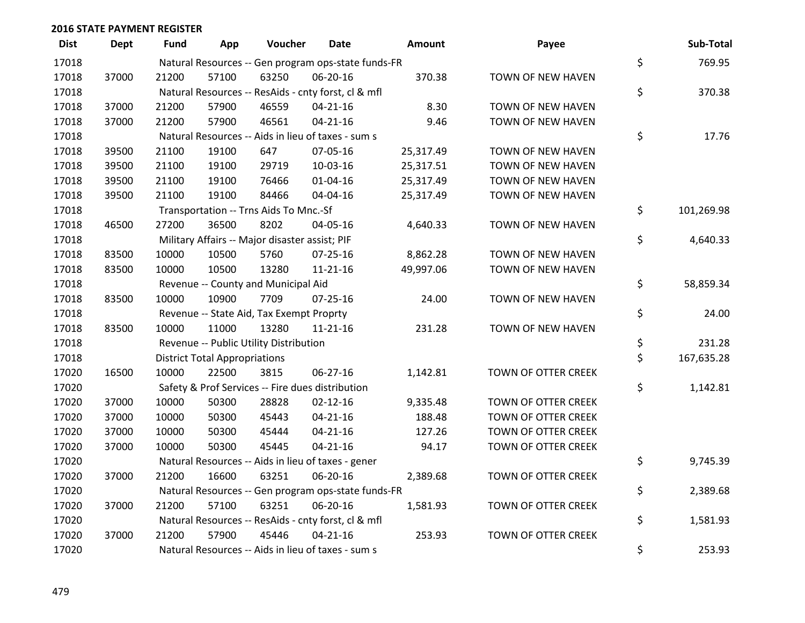| <b>Dist</b> | <b>Dept</b> | <b>Fund</b> | App                                  | Voucher                                             | <b>Date</b>    | Amount    | Payee               | Sub-Total        |
|-------------|-------------|-------------|--------------------------------------|-----------------------------------------------------|----------------|-----------|---------------------|------------------|
| 17018       |             |             |                                      | Natural Resources -- Gen program ops-state funds-FR |                |           |                     | \$<br>769.95     |
| 17018       | 37000       | 21200       | 57100                                | 63250                                               | 06-20-16       | 370.38    | TOWN OF NEW HAVEN   |                  |
| 17018       |             |             |                                      | Natural Resources -- ResAids - cnty forst, cl & mfl |                |           |                     | \$<br>370.38     |
| 17018       | 37000       | 21200       | 57900                                | 46559                                               | $04 - 21 - 16$ | 8.30      | TOWN OF NEW HAVEN   |                  |
| 17018       | 37000       | 21200       | 57900                                | 46561                                               | $04 - 21 - 16$ | 9.46      | TOWN OF NEW HAVEN   |                  |
| 17018       |             |             |                                      | Natural Resources -- Aids in lieu of taxes - sum s  |                |           |                     | \$<br>17.76      |
| 17018       | 39500       | 21100       | 19100                                | 647                                                 | 07-05-16       | 25,317.49 | TOWN OF NEW HAVEN   |                  |
| 17018       | 39500       | 21100       | 19100                                | 29719                                               | 10-03-16       | 25,317.51 | TOWN OF NEW HAVEN   |                  |
| 17018       | 39500       | 21100       | 19100                                | 76466                                               | $01 - 04 - 16$ | 25,317.49 | TOWN OF NEW HAVEN   |                  |
| 17018       | 39500       | 21100       | 19100                                | 84466                                               | 04-04-16       | 25,317.49 | TOWN OF NEW HAVEN   |                  |
| 17018       |             |             |                                      | Transportation -- Trns Aids To Mnc.-Sf              |                |           |                     | \$<br>101,269.98 |
| 17018       | 46500       | 27200       | 36500                                | 8202                                                | 04-05-16       | 4,640.33  | TOWN OF NEW HAVEN   |                  |
| 17018       |             |             |                                      | Military Affairs -- Major disaster assist; PIF      |                |           |                     | \$<br>4,640.33   |
| 17018       | 83500       | 10000       | 10500                                | 5760                                                | 07-25-16       | 8,862.28  | TOWN OF NEW HAVEN   |                  |
| 17018       | 83500       | 10000       | 10500                                | 13280                                               | $11 - 21 - 16$ | 49,997.06 | TOWN OF NEW HAVEN   |                  |
| 17018       |             |             |                                      | Revenue -- County and Municipal Aid                 |                |           |                     | \$<br>58,859.34  |
| 17018       | 83500       | 10000       | 10900                                | 7709                                                | $07 - 25 - 16$ | 24.00     | TOWN OF NEW HAVEN   |                  |
| 17018       |             |             |                                      | Revenue -- State Aid, Tax Exempt Proprty            |                |           |                     | \$<br>24.00      |
| 17018       | 83500       | 10000       | 11000                                | 13280                                               | $11 - 21 - 16$ | 231.28    | TOWN OF NEW HAVEN   |                  |
| 17018       |             |             |                                      | Revenue -- Public Utility Distribution              |                |           |                     | \$<br>231.28     |
| 17018       |             |             | <b>District Total Appropriations</b> |                                                     |                |           |                     | \$<br>167,635.28 |
| 17020       | 16500       | 10000       | 22500                                | 3815                                                | 06-27-16       | 1,142.81  | TOWN OF OTTER CREEK |                  |
| 17020       |             |             |                                      | Safety & Prof Services -- Fire dues distribution    |                |           |                     | \$<br>1,142.81   |
| 17020       | 37000       | 10000       | 50300                                | 28828                                               | $02 - 12 - 16$ | 9,335.48  | TOWN OF OTTER CREEK |                  |
| 17020       | 37000       | 10000       | 50300                                | 45443                                               | $04 - 21 - 16$ | 188.48    | TOWN OF OTTER CREEK |                  |
| 17020       | 37000       | 10000       | 50300                                | 45444                                               | $04 - 21 - 16$ | 127.26    | TOWN OF OTTER CREEK |                  |
| 17020       | 37000       | 10000       | 50300                                | 45445                                               | $04 - 21 - 16$ | 94.17     | TOWN OF OTTER CREEK |                  |
| 17020       |             |             |                                      | Natural Resources -- Aids in lieu of taxes - gener  |                |           |                     | \$<br>9,745.39   |
| 17020       | 37000       | 21200       | 16600                                | 63251                                               | 06-20-16       | 2,389.68  | TOWN OF OTTER CREEK |                  |
| 17020       |             |             |                                      | Natural Resources -- Gen program ops-state funds-FR |                |           |                     | \$<br>2,389.68   |
| 17020       | 37000       | 21200       | 57100                                | 63251                                               | 06-20-16       | 1,581.93  | TOWN OF OTTER CREEK |                  |
| 17020       |             |             |                                      | Natural Resources -- ResAids - cnty forst, cl & mfl |                |           |                     | \$<br>1,581.93   |
| 17020       | 37000       | 21200       | 57900                                | 45446                                               | $04 - 21 - 16$ | 253.93    | TOWN OF OTTER CREEK |                  |
| 17020       |             |             |                                      | Natural Resources -- Aids in lieu of taxes - sum s  |                |           |                     | \$<br>253.93     |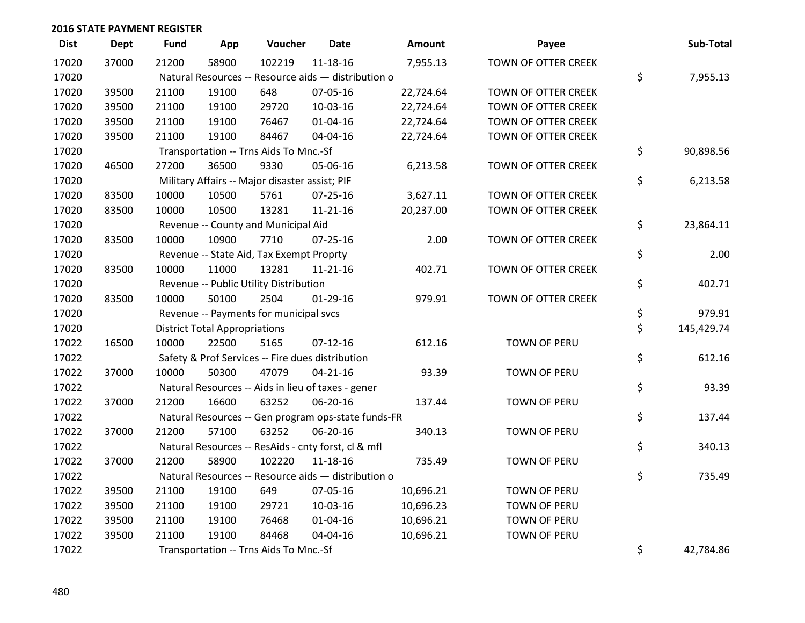| <b>Dist</b> | Dept  | <b>Fund</b> | App                                  | Voucher                                             | <b>Date</b>    | <b>Amount</b> | Payee               | Sub-Total        |
|-------------|-------|-------------|--------------------------------------|-----------------------------------------------------|----------------|---------------|---------------------|------------------|
| 17020       | 37000 | 21200       | 58900                                | 102219                                              | $11 - 18 - 16$ | 7,955.13      | TOWN OF OTTER CREEK |                  |
| 17020       |       |             |                                      | Natural Resources -- Resource aids - distribution o |                |               |                     | \$<br>7,955.13   |
| 17020       | 39500 | 21100       | 19100                                | 648                                                 | 07-05-16       | 22,724.64     | TOWN OF OTTER CREEK |                  |
| 17020       | 39500 | 21100       | 19100                                | 29720                                               | 10-03-16       | 22,724.64     | TOWN OF OTTER CREEK |                  |
| 17020       | 39500 | 21100       | 19100                                | 76467                                               | $01 - 04 - 16$ | 22,724.64     | TOWN OF OTTER CREEK |                  |
| 17020       | 39500 | 21100       | 19100                                | 84467                                               | 04-04-16       | 22,724.64     | TOWN OF OTTER CREEK |                  |
| 17020       |       |             |                                      | Transportation -- Trns Aids To Mnc.-Sf              |                |               |                     | \$<br>90,898.56  |
| 17020       | 46500 | 27200       | 36500                                | 9330                                                | 05-06-16       | 6,213.58      | TOWN OF OTTER CREEK |                  |
| 17020       |       |             |                                      | Military Affairs -- Major disaster assist; PIF      |                |               |                     | \$<br>6,213.58   |
| 17020       | 83500 | 10000       | 10500                                | 5761                                                | $07 - 25 - 16$ | 3,627.11      | TOWN OF OTTER CREEK |                  |
| 17020       | 83500 | 10000       | 10500                                | 13281                                               | $11 - 21 - 16$ | 20,237.00     | TOWN OF OTTER CREEK |                  |
| 17020       |       |             |                                      | Revenue -- County and Municipal Aid                 |                |               |                     | \$<br>23,864.11  |
| 17020       | 83500 | 10000       | 10900                                | 7710                                                | $07 - 25 - 16$ | 2.00          | TOWN OF OTTER CREEK |                  |
| 17020       |       |             |                                      | Revenue -- State Aid, Tax Exempt Proprty            |                |               |                     | \$<br>2.00       |
| 17020       | 83500 | 10000       | 11000                                | 13281                                               | $11 - 21 - 16$ | 402.71        | TOWN OF OTTER CREEK |                  |
| 17020       |       |             |                                      | Revenue -- Public Utility Distribution              |                |               |                     | \$<br>402.71     |
| 17020       | 83500 | 10000       | 50100                                | 2504                                                | $01-29-16$     | 979.91        | TOWN OF OTTER CREEK |                  |
| 17020       |       |             |                                      | Revenue -- Payments for municipal svcs              |                |               |                     | \$<br>979.91     |
| 17020       |       |             | <b>District Total Appropriations</b> |                                                     |                |               |                     | \$<br>145,429.74 |
| 17022       | 16500 | 10000       | 22500                                | 5165                                                | $07-12-16$     | 612.16        | <b>TOWN OF PERU</b> |                  |
| 17022       |       |             |                                      | Safety & Prof Services -- Fire dues distribution    |                |               |                     | \$<br>612.16     |
| 17022       | 37000 | 10000       | 50300                                | 47079                                               | $04 - 21 - 16$ | 93.39         | TOWN OF PERU        |                  |
| 17022       |       |             |                                      | Natural Resources -- Aids in lieu of taxes - gener  |                |               |                     | \$<br>93.39      |
| 17022       | 37000 | 21200       | 16600                                | 63252                                               | 06-20-16       | 137.44        | TOWN OF PERU        |                  |
| 17022       |       |             |                                      | Natural Resources -- Gen program ops-state funds-FR |                |               |                     | \$<br>137.44     |
| 17022       | 37000 | 21200       | 57100                                | 63252                                               | 06-20-16       | 340.13        | TOWN OF PERU        |                  |
| 17022       |       |             |                                      | Natural Resources -- ResAids - cnty forst, cl & mfl |                |               |                     | \$<br>340.13     |
| 17022       | 37000 | 21200       | 58900                                | 102220                                              | $11 - 18 - 16$ | 735.49        | <b>TOWN OF PERU</b> |                  |
| 17022       |       |             |                                      | Natural Resources -- Resource aids - distribution o |                |               |                     | \$<br>735.49     |
| 17022       | 39500 | 21100       | 19100                                | 649                                                 | 07-05-16       | 10,696.21     | TOWN OF PERU        |                  |
| 17022       | 39500 | 21100       | 19100                                | 29721                                               | 10-03-16       | 10,696.23     | TOWN OF PERU        |                  |
| 17022       | 39500 | 21100       | 19100                                | 76468                                               | $01 - 04 - 16$ | 10,696.21     | TOWN OF PERU        |                  |
| 17022       | 39500 | 21100       | 19100                                | 84468                                               | 04-04-16       | 10,696.21     | <b>TOWN OF PERU</b> |                  |
| 17022       |       |             |                                      | Transportation -- Trns Aids To Mnc.-Sf              |                |               |                     | \$<br>42,784.86  |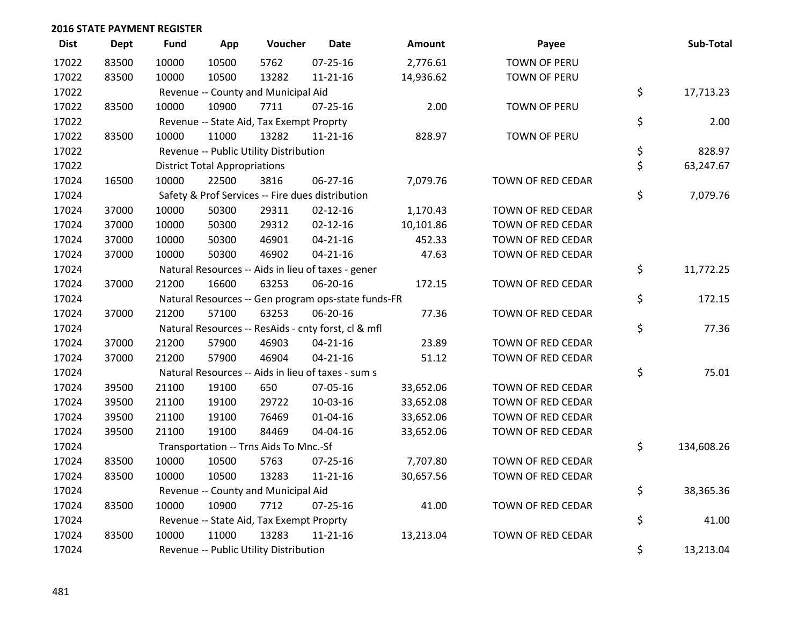| <b>Dist</b> | Dept  | <b>Fund</b> | App                                  | Voucher                                             | Date           | Amount    | Payee               | Sub-Total        |
|-------------|-------|-------------|--------------------------------------|-----------------------------------------------------|----------------|-----------|---------------------|------------------|
| 17022       | 83500 | 10000       | 10500                                | 5762                                                | $07 - 25 - 16$ | 2,776.61  | <b>TOWN OF PERU</b> |                  |
| 17022       | 83500 | 10000       | 10500                                | 13282                                               | $11 - 21 - 16$ | 14,936.62 | TOWN OF PERU        |                  |
| 17022       |       |             |                                      | Revenue -- County and Municipal Aid                 |                |           |                     | \$<br>17,713.23  |
| 17022       | 83500 | 10000       | 10900                                | 7711                                                | 07-25-16       | 2.00      | TOWN OF PERU        |                  |
| 17022       |       |             |                                      | Revenue -- State Aid, Tax Exempt Proprty            |                |           |                     | \$<br>2.00       |
| 17022       | 83500 | 10000       | 11000                                | 13282                                               | $11 - 21 - 16$ | 828.97    | <b>TOWN OF PERU</b> |                  |
| 17022       |       |             |                                      | Revenue -- Public Utility Distribution              |                |           |                     | \$<br>828.97     |
| 17022       |       |             | <b>District Total Appropriations</b> |                                                     |                |           |                     | \$<br>63,247.67  |
| 17024       | 16500 | 10000       | 22500                                | 3816                                                | 06-27-16       | 7,079.76  | TOWN OF RED CEDAR   |                  |
| 17024       |       |             |                                      | Safety & Prof Services -- Fire dues distribution    |                |           |                     | \$<br>7,079.76   |
| 17024       | 37000 | 10000       | 50300                                | 29311                                               | $02 - 12 - 16$ | 1,170.43  | TOWN OF RED CEDAR   |                  |
| 17024       | 37000 | 10000       | 50300                                | 29312                                               | $02 - 12 - 16$ | 10,101.86 | TOWN OF RED CEDAR   |                  |
| 17024       | 37000 | 10000       | 50300                                | 46901                                               | $04 - 21 - 16$ | 452.33    | TOWN OF RED CEDAR   |                  |
| 17024       | 37000 | 10000       | 50300                                | 46902                                               | $04 - 21 - 16$ | 47.63     | TOWN OF RED CEDAR   |                  |
| 17024       |       |             |                                      | Natural Resources -- Aids in lieu of taxes - gener  |                |           |                     | \$<br>11,772.25  |
| 17024       | 37000 | 21200       | 16600                                | 63253                                               | 06-20-16       | 172.15    | TOWN OF RED CEDAR   |                  |
| 17024       |       |             |                                      | Natural Resources -- Gen program ops-state funds-FR |                |           |                     | \$<br>172.15     |
| 17024       | 37000 | 21200       | 57100                                | 63253                                               | 06-20-16       | 77.36     | TOWN OF RED CEDAR   |                  |
| 17024       |       |             |                                      | Natural Resources -- ResAids - cnty forst, cl & mfl |                |           |                     | \$<br>77.36      |
| 17024       | 37000 | 21200       | 57900                                | 46903                                               | $04 - 21 - 16$ | 23.89     | TOWN OF RED CEDAR   |                  |
| 17024       | 37000 | 21200       | 57900                                | 46904                                               | $04 - 21 - 16$ | 51.12     | TOWN OF RED CEDAR   |                  |
| 17024       |       |             |                                      | Natural Resources -- Aids in lieu of taxes - sum s  |                |           |                     | \$<br>75.01      |
| 17024       | 39500 | 21100       | 19100                                | 650                                                 | 07-05-16       | 33,652.06 | TOWN OF RED CEDAR   |                  |
| 17024       | 39500 | 21100       | 19100                                | 29722                                               | 10-03-16       | 33,652.08 | TOWN OF RED CEDAR   |                  |
| 17024       | 39500 | 21100       | 19100                                | 76469                                               | $01 - 04 - 16$ | 33,652.06 | TOWN OF RED CEDAR   |                  |
| 17024       | 39500 | 21100       | 19100                                | 84469                                               | 04-04-16       | 33,652.06 | TOWN OF RED CEDAR   |                  |
| 17024       |       |             |                                      | Transportation -- Trns Aids To Mnc.-Sf              |                |           |                     | \$<br>134,608.26 |
| 17024       | 83500 | 10000       | 10500                                | 5763                                                | 07-25-16       | 7,707.80  | TOWN OF RED CEDAR   |                  |
| 17024       | 83500 | 10000       | 10500                                | 13283                                               | $11 - 21 - 16$ | 30,657.56 | TOWN OF RED CEDAR   |                  |
| 17024       |       |             |                                      | Revenue -- County and Municipal Aid                 |                |           |                     | \$<br>38,365.36  |
| 17024       | 83500 | 10000       | 10900                                | 7712                                                | $07 - 25 - 16$ | 41.00     | TOWN OF RED CEDAR   |                  |
| 17024       |       |             |                                      | Revenue -- State Aid, Tax Exempt Proprty            |                |           |                     | \$<br>41.00      |
| 17024       | 83500 | 10000       | 11000                                | 13283                                               | $11 - 21 - 16$ | 13,213.04 | TOWN OF RED CEDAR   |                  |
| 17024       |       |             |                                      | Revenue -- Public Utility Distribution              |                |           |                     | \$<br>13,213.04  |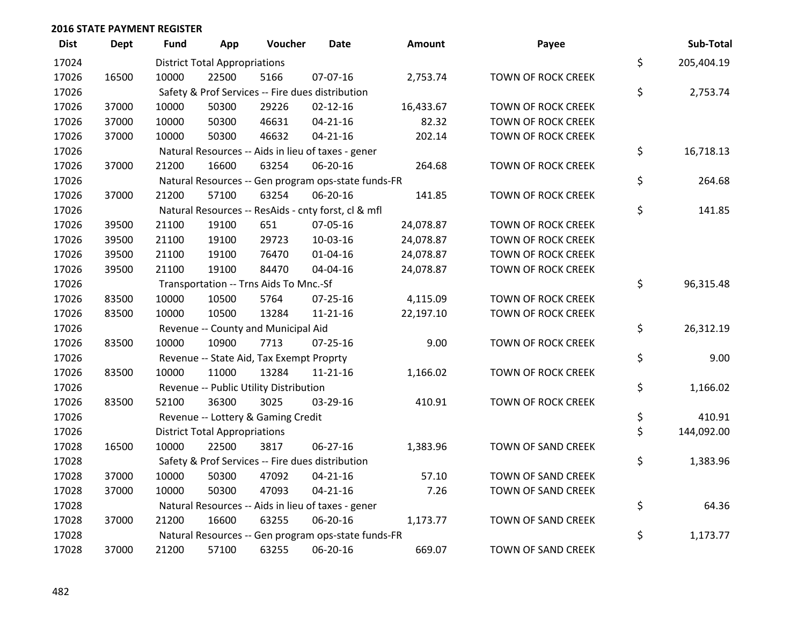| <b>Dist</b> | <b>Dept</b> | <b>Fund</b> | App                                  | Voucher                                  | Date                                                | <b>Amount</b> | Payee                     | Sub-Total        |
|-------------|-------------|-------------|--------------------------------------|------------------------------------------|-----------------------------------------------------|---------------|---------------------------|------------------|
| 17024       |             |             | <b>District Total Appropriations</b> |                                          |                                                     |               |                           | \$<br>205,404.19 |
| 17026       | 16500       | 10000       | 22500                                | 5166                                     | 07-07-16                                            | 2,753.74      | <b>TOWN OF ROCK CREEK</b> |                  |
| 17026       |             |             |                                      |                                          | Safety & Prof Services -- Fire dues distribution    |               |                           | \$<br>2,753.74   |
| 17026       | 37000       | 10000       | 50300                                | 29226                                    | $02 - 12 - 16$                                      | 16,433.67     | <b>TOWN OF ROCK CREEK</b> |                  |
| 17026       | 37000       | 10000       | 50300                                | 46631                                    | $04 - 21 - 16$                                      | 82.32         | <b>TOWN OF ROCK CREEK</b> |                  |
| 17026       | 37000       | 10000       | 50300                                | 46632                                    | $04 - 21 - 16$                                      | 202.14        | TOWN OF ROCK CREEK        |                  |
| 17026       |             |             |                                      |                                          | Natural Resources -- Aids in lieu of taxes - gener  |               |                           | \$<br>16,718.13  |
| 17026       | 37000       | 21200       | 16600                                | 63254                                    | 06-20-16                                            | 264.68        | <b>TOWN OF ROCK CREEK</b> |                  |
| 17026       |             |             |                                      |                                          | Natural Resources -- Gen program ops-state funds-FR |               |                           | \$<br>264.68     |
| 17026       | 37000       | 21200       | 57100                                | 63254                                    | 06-20-16                                            | 141.85        | TOWN OF ROCK CREEK        |                  |
| 17026       |             |             |                                      |                                          | Natural Resources -- ResAids - cnty forst, cl & mfl |               |                           | \$<br>141.85     |
| 17026       | 39500       | 21100       | 19100                                | 651                                      | 07-05-16                                            | 24,078.87     | <b>TOWN OF ROCK CREEK</b> |                  |
| 17026       | 39500       | 21100       | 19100                                | 29723                                    | 10-03-16                                            | 24,078.87     | <b>TOWN OF ROCK CREEK</b> |                  |
| 17026       | 39500       | 21100       | 19100                                | 76470                                    | 01-04-16                                            | 24,078.87     | TOWN OF ROCK CREEK        |                  |
| 17026       | 39500       | 21100       | 19100                                | 84470                                    | 04-04-16                                            | 24,078.87     | <b>TOWN OF ROCK CREEK</b> |                  |
| 17026       |             |             |                                      | Transportation -- Trns Aids To Mnc.-Sf   |                                                     |               |                           | \$<br>96,315.48  |
| 17026       | 83500       | 10000       | 10500                                | 5764                                     | $07 - 25 - 16$                                      | 4,115.09      | <b>TOWN OF ROCK CREEK</b> |                  |
| 17026       | 83500       | 10000       | 10500                                | 13284                                    | $11 - 21 - 16$                                      | 22,197.10     | <b>TOWN OF ROCK CREEK</b> |                  |
| 17026       |             |             |                                      | Revenue -- County and Municipal Aid      |                                                     |               |                           | \$<br>26,312.19  |
| 17026       | 83500       | 10000       | 10900                                | 7713                                     | $07 - 25 - 16$                                      | 9.00          | <b>TOWN OF ROCK CREEK</b> |                  |
| 17026       |             |             |                                      | Revenue -- State Aid, Tax Exempt Proprty |                                                     |               |                           | \$<br>9.00       |
| 17026       | 83500       | 10000       | 11000                                | 13284                                    | $11 - 21 - 16$                                      | 1,166.02      | TOWN OF ROCK CREEK        |                  |
| 17026       |             |             |                                      | Revenue -- Public Utility Distribution   |                                                     |               |                           | \$<br>1,166.02   |
| 17026       | 83500       | 52100       | 36300                                | 3025                                     | 03-29-16                                            | 410.91        | <b>TOWN OF ROCK CREEK</b> |                  |
| 17026       |             |             |                                      | Revenue -- Lottery & Gaming Credit       |                                                     |               |                           | \$<br>410.91     |
| 17026       |             |             | <b>District Total Appropriations</b> |                                          |                                                     |               |                           | \$<br>144,092.00 |
| 17028       | 16500       | 10000       | 22500                                | 3817                                     | 06-27-16                                            | 1,383.96      | TOWN OF SAND CREEK        |                  |
| 17028       |             |             |                                      |                                          | Safety & Prof Services -- Fire dues distribution    |               |                           | \$<br>1,383.96   |
| 17028       | 37000       | 10000       | 50300                                | 47092                                    | $04 - 21 - 16$                                      | 57.10         | TOWN OF SAND CREEK        |                  |
| 17028       | 37000       | 10000       | 50300                                | 47093                                    | $04 - 21 - 16$                                      | 7.26          | TOWN OF SAND CREEK        |                  |
| 17028       |             |             |                                      |                                          | Natural Resources -- Aids in lieu of taxes - gener  |               |                           | \$<br>64.36      |
| 17028       | 37000       | 21200       | 16600                                | 63255                                    | 06-20-16                                            | 1,173.77      | TOWN OF SAND CREEK        |                  |
| 17028       |             |             |                                      |                                          | Natural Resources -- Gen program ops-state funds-FR |               |                           | \$<br>1,173.77   |
| 17028       | 37000       | 21200       | 57100                                | 63255                                    | 06-20-16                                            | 669.07        | TOWN OF SAND CREEK        |                  |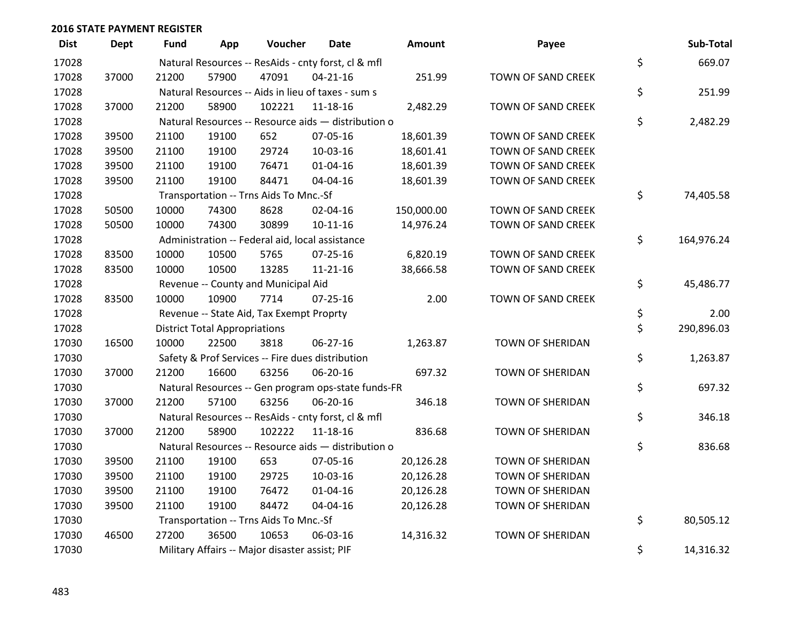| <b>Dist</b> | Dept  | <b>Fund</b> | App                                  | Voucher                                             | <b>Date</b>    | Amount     | Payee                   | Sub-Total        |
|-------------|-------|-------------|--------------------------------------|-----------------------------------------------------|----------------|------------|-------------------------|------------------|
| 17028       |       |             |                                      | Natural Resources -- ResAids - cnty forst, cl & mfl |                |            |                         | \$<br>669.07     |
| 17028       | 37000 | 21200       | 57900                                | 47091                                               | $04 - 21 - 16$ | 251.99     | TOWN OF SAND CREEK      |                  |
| 17028       |       |             |                                      | Natural Resources -- Aids in lieu of taxes - sum s  |                |            |                         | \$<br>251.99     |
| 17028       | 37000 | 21200       | 58900                                | 102221                                              | 11-18-16       | 2,482.29   | TOWN OF SAND CREEK      |                  |
| 17028       |       |             |                                      | Natural Resources -- Resource aids - distribution o |                |            |                         | \$<br>2,482.29   |
| 17028       | 39500 | 21100       | 19100                                | 652                                                 | 07-05-16       | 18,601.39  | TOWN OF SAND CREEK      |                  |
| 17028       | 39500 | 21100       | 19100                                | 29724                                               | 10-03-16       | 18,601.41  | TOWN OF SAND CREEK      |                  |
| 17028       | 39500 | 21100       | 19100                                | 76471                                               | $01 - 04 - 16$ | 18,601.39  | TOWN OF SAND CREEK      |                  |
| 17028       | 39500 | 21100       | 19100                                | 84471                                               | 04-04-16       | 18,601.39  | TOWN OF SAND CREEK      |                  |
| 17028       |       |             |                                      | Transportation -- Trns Aids To Mnc.-Sf              |                |            |                         | \$<br>74,405.58  |
| 17028       | 50500 | 10000       | 74300                                | 8628                                                | 02-04-16       | 150,000.00 | TOWN OF SAND CREEK      |                  |
| 17028       | 50500 | 10000       | 74300                                | 30899                                               | $10 - 11 - 16$ | 14,976.24  | TOWN OF SAND CREEK      |                  |
| 17028       |       |             |                                      | Administration -- Federal aid, local assistance     |                |            |                         | \$<br>164,976.24 |
| 17028       | 83500 | 10000       | 10500                                | 5765                                                | 07-25-16       | 6,820.19   | TOWN OF SAND CREEK      |                  |
| 17028       | 83500 | 10000       | 10500                                | 13285                                               | $11 - 21 - 16$ | 38,666.58  | TOWN OF SAND CREEK      |                  |
| 17028       |       |             |                                      | Revenue -- County and Municipal Aid                 |                |            |                         | \$<br>45,486.77  |
| 17028       | 83500 | 10000       | 10900                                | 7714                                                | 07-25-16       | 2.00       | TOWN OF SAND CREEK      |                  |
| 17028       |       |             |                                      | Revenue -- State Aid, Tax Exempt Proprty            |                |            |                         | \$<br>2.00       |
| 17028       |       |             | <b>District Total Appropriations</b> |                                                     |                |            |                         | \$<br>290,896.03 |
| 17030       | 16500 | 10000       | 22500                                | 3818                                                | 06-27-16       | 1,263.87   | TOWN OF SHERIDAN        |                  |
| 17030       |       |             |                                      | Safety & Prof Services -- Fire dues distribution    |                |            |                         | \$<br>1,263.87   |
| 17030       | 37000 | 21200       | 16600                                | 63256                                               | 06-20-16       | 697.32     | <b>TOWN OF SHERIDAN</b> |                  |
| 17030       |       |             |                                      | Natural Resources -- Gen program ops-state funds-FR |                |            |                         | \$<br>697.32     |
| 17030       | 37000 | 21200       | 57100                                | 63256                                               | 06-20-16       | 346.18     | TOWN OF SHERIDAN        |                  |
| 17030       |       |             |                                      | Natural Resources -- ResAids - cnty forst, cl & mfl |                |            |                         | \$<br>346.18     |
| 17030       | 37000 | 21200       | 58900                                | 102222                                              | 11-18-16       | 836.68     | TOWN OF SHERIDAN        |                  |
| 17030       |       |             |                                      | Natural Resources -- Resource aids - distribution o |                |            |                         | \$<br>836.68     |
| 17030       | 39500 | 21100       | 19100                                | 653                                                 | 07-05-16       | 20,126.28  | TOWN OF SHERIDAN        |                  |
| 17030       | 39500 | 21100       | 19100                                | 29725                                               | 10-03-16       | 20,126.28  | <b>TOWN OF SHERIDAN</b> |                  |
| 17030       | 39500 | 21100       | 19100                                | 76472                                               | $01 - 04 - 16$ | 20,126.28  | <b>TOWN OF SHERIDAN</b> |                  |
| 17030       | 39500 | 21100       | 19100                                | 84472                                               | 04-04-16       | 20,126.28  | TOWN OF SHERIDAN        |                  |
| 17030       |       |             |                                      | Transportation -- Trns Aids To Mnc.-Sf              |                |            |                         | \$<br>80,505.12  |
| 17030       | 46500 | 27200       | 36500                                | 10653                                               | 06-03-16       | 14,316.32  | <b>TOWN OF SHERIDAN</b> |                  |
| 17030       |       |             |                                      | Military Affairs -- Major disaster assist; PIF      |                |            |                         | \$<br>14,316.32  |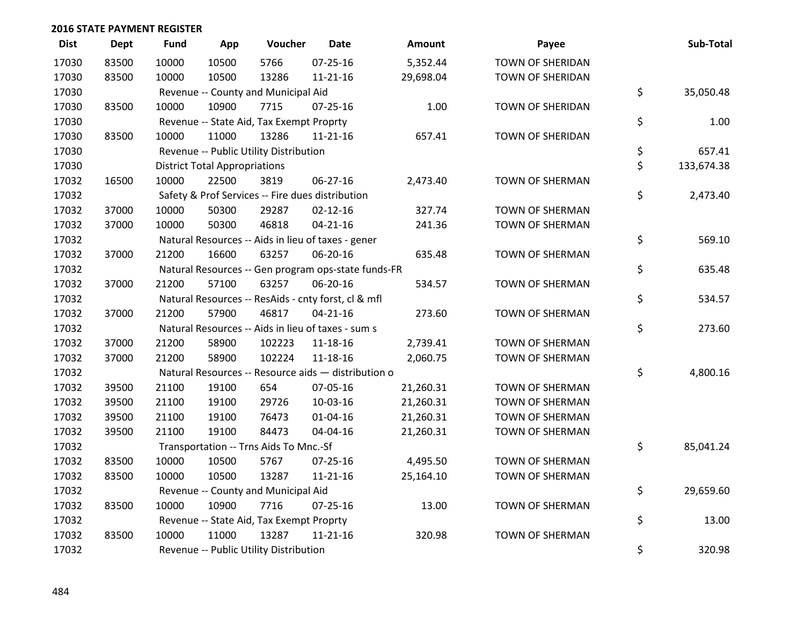| <b>Dist</b> | Dept  | <b>Fund</b> | App                                  | Voucher                                  | Date                                                | Amount    | Payee                   | Sub-Total        |
|-------------|-------|-------------|--------------------------------------|------------------------------------------|-----------------------------------------------------|-----------|-------------------------|------------------|
| 17030       | 83500 | 10000       | 10500                                | 5766                                     | $07 - 25 - 16$                                      | 5,352.44  | <b>TOWN OF SHERIDAN</b> |                  |
| 17030       | 83500 | 10000       | 10500                                | 13286                                    | $11 - 21 - 16$                                      | 29,698.04 | TOWN OF SHERIDAN        |                  |
| 17030       |       |             |                                      | Revenue -- County and Municipal Aid      |                                                     |           |                         | \$<br>35,050.48  |
| 17030       | 83500 | 10000       | 10900                                | 7715                                     | 07-25-16                                            | 1.00      | TOWN OF SHERIDAN        |                  |
| 17030       |       |             |                                      | Revenue -- State Aid, Tax Exempt Proprty |                                                     |           |                         | \$<br>1.00       |
| 17030       | 83500 | 10000       | 11000                                | 13286                                    | $11 - 21 - 16$                                      | 657.41    | <b>TOWN OF SHERIDAN</b> |                  |
| 17030       |       |             |                                      | Revenue -- Public Utility Distribution   |                                                     |           |                         | \$<br>657.41     |
| 17030       |       |             | <b>District Total Appropriations</b> |                                          |                                                     |           |                         | \$<br>133,674.38 |
| 17032       | 16500 | 10000       | 22500                                | 3819                                     | 06-27-16                                            | 2,473.40  | TOWN OF SHERMAN         |                  |
| 17032       |       |             |                                      |                                          | Safety & Prof Services -- Fire dues distribution    |           |                         | \$<br>2,473.40   |
| 17032       | 37000 | 10000       | 50300                                | 29287                                    | $02 - 12 - 16$                                      | 327.74    | <b>TOWN OF SHERMAN</b>  |                  |
| 17032       | 37000 | 10000       | 50300                                | 46818                                    | $04 - 21 - 16$                                      | 241.36    | TOWN OF SHERMAN         |                  |
| 17032       |       |             |                                      |                                          | Natural Resources -- Aids in lieu of taxes - gener  |           |                         | \$<br>569.10     |
| 17032       | 37000 | 21200       | 16600                                | 63257                                    | 06-20-16                                            | 635.48    | <b>TOWN OF SHERMAN</b>  |                  |
| 17032       |       |             |                                      |                                          | Natural Resources -- Gen program ops-state funds-FR |           |                         | \$<br>635.48     |
| 17032       | 37000 | 21200       | 57100                                | 63257                                    | 06-20-16                                            | 534.57    | TOWN OF SHERMAN         |                  |
| 17032       |       |             |                                      |                                          | Natural Resources -- ResAids - cnty forst, cl & mfl |           |                         | \$<br>534.57     |
| 17032       | 37000 | 21200       | 57900                                | 46817                                    | $04 - 21 - 16$                                      | 273.60    | <b>TOWN OF SHERMAN</b>  |                  |
| 17032       |       |             |                                      |                                          | Natural Resources -- Aids in lieu of taxes - sum s  |           |                         | \$<br>273.60     |
| 17032       | 37000 | 21200       | 58900                                | 102223                                   | 11-18-16                                            | 2,739.41  | TOWN OF SHERMAN         |                  |
| 17032       | 37000 | 21200       | 58900                                | 102224                                   | $11 - 18 - 16$                                      | 2,060.75  | TOWN OF SHERMAN         |                  |
| 17032       |       |             |                                      |                                          | Natural Resources -- Resource aids - distribution o |           |                         | \$<br>4,800.16   |
| 17032       | 39500 | 21100       | 19100                                | 654                                      | 07-05-16                                            | 21,260.31 | <b>TOWN OF SHERMAN</b>  |                  |
| 17032       | 39500 | 21100       | 19100                                | 29726                                    | 10-03-16                                            | 21,260.31 | <b>TOWN OF SHERMAN</b>  |                  |
| 17032       | 39500 | 21100       | 19100                                | 76473                                    | $01 - 04 - 16$                                      | 21,260.31 | TOWN OF SHERMAN         |                  |
| 17032       | 39500 | 21100       | 19100                                | 84473                                    | 04-04-16                                            | 21,260.31 | TOWN OF SHERMAN         |                  |
| 17032       |       |             |                                      | Transportation -- Trns Aids To Mnc.-Sf   |                                                     |           |                         | \$<br>85,041.24  |
| 17032       | 83500 | 10000       | 10500                                | 5767                                     | 07-25-16                                            | 4,495.50  | <b>TOWN OF SHERMAN</b>  |                  |
| 17032       | 83500 | 10000       | 10500                                | 13287                                    | $11 - 21 - 16$                                      | 25,164.10 | <b>TOWN OF SHERMAN</b>  |                  |
| 17032       |       |             |                                      | Revenue -- County and Municipal Aid      |                                                     |           |                         | \$<br>29,659.60  |
| 17032       | 83500 | 10000       | 10900                                | 7716                                     | 07-25-16                                            | 13.00     | TOWN OF SHERMAN         |                  |
| 17032       |       |             |                                      | Revenue -- State Aid, Tax Exempt Proprty |                                                     |           |                         | \$<br>13.00      |
| 17032       | 83500 | 10000       | 11000                                | 13287                                    | $11 - 21 - 16$                                      | 320.98    | <b>TOWN OF SHERMAN</b>  |                  |
| 17032       |       |             |                                      | Revenue -- Public Utility Distribution   |                                                     |           |                         | \$<br>320.98     |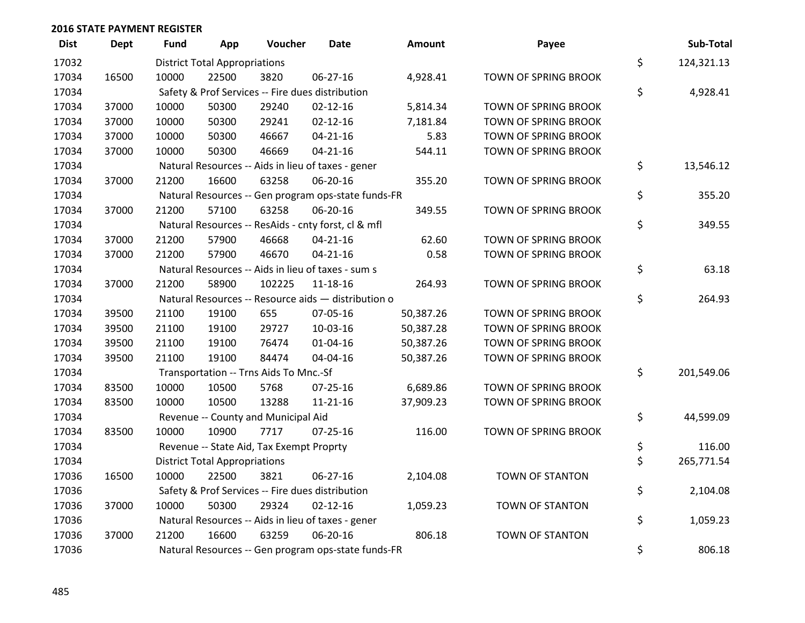| <b>Dist</b> | <b>Dept</b> | <b>Fund</b> | App                                  | Voucher                                  | <b>Date</b>                                         | Amount    | Payee                  | Sub-Total        |
|-------------|-------------|-------------|--------------------------------------|------------------------------------------|-----------------------------------------------------|-----------|------------------------|------------------|
| 17032       |             |             | <b>District Total Appropriations</b> |                                          |                                                     |           |                        | \$<br>124,321.13 |
| 17034       | 16500       | 10000       | 22500                                | 3820                                     | 06-27-16                                            | 4,928.41  | TOWN OF SPRING BROOK   |                  |
| 17034       |             |             |                                      |                                          | Safety & Prof Services -- Fire dues distribution    |           |                        | \$<br>4,928.41   |
| 17034       | 37000       | 10000       | 50300                                | 29240                                    | $02 - 12 - 16$                                      | 5,814.34  | TOWN OF SPRING BROOK   |                  |
| 17034       | 37000       | 10000       | 50300                                | 29241                                    | $02 - 12 - 16$                                      | 7,181.84  | TOWN OF SPRING BROOK   |                  |
| 17034       | 37000       | 10000       | 50300                                | 46667                                    | $04 - 21 - 16$                                      | 5.83      | TOWN OF SPRING BROOK   |                  |
| 17034       | 37000       | 10000       | 50300                                | 46669                                    | $04 - 21 - 16$                                      | 544.11    | TOWN OF SPRING BROOK   |                  |
| 17034       |             |             |                                      |                                          | Natural Resources -- Aids in lieu of taxes - gener  |           |                        | \$<br>13,546.12  |
| 17034       | 37000       | 21200       | 16600                                | 63258                                    | 06-20-16                                            | 355.20    | TOWN OF SPRING BROOK   |                  |
| 17034       |             |             |                                      |                                          | Natural Resources -- Gen program ops-state funds-FR |           |                        | \$<br>355.20     |
| 17034       | 37000       | 21200       | 57100                                | 63258                                    | 06-20-16                                            | 349.55    | TOWN OF SPRING BROOK   |                  |
| 17034       |             |             |                                      |                                          | Natural Resources -- ResAids - cnty forst, cl & mfl |           |                        | \$<br>349.55     |
| 17034       | 37000       | 21200       | 57900                                | 46668                                    | $04 - 21 - 16$                                      | 62.60     | TOWN OF SPRING BROOK   |                  |
| 17034       | 37000       | 21200       | 57900                                | 46670                                    | $04 - 21 - 16$                                      | 0.58      | TOWN OF SPRING BROOK   |                  |
| 17034       |             |             |                                      |                                          | Natural Resources -- Aids in lieu of taxes - sum s  |           |                        | \$<br>63.18      |
| 17034       | 37000       | 21200       | 58900                                | 102225                                   | 11-18-16                                            | 264.93    | TOWN OF SPRING BROOK   |                  |
| 17034       |             |             |                                      |                                          | Natural Resources -- Resource aids - distribution o |           |                        | \$<br>264.93     |
| 17034       | 39500       | 21100       | 19100                                | 655                                      | 07-05-16                                            | 50,387.26 | TOWN OF SPRING BROOK   |                  |
| 17034       | 39500       | 21100       | 19100                                | 29727                                    | 10-03-16                                            | 50,387.28 | TOWN OF SPRING BROOK   |                  |
| 17034       | 39500       | 21100       | 19100                                | 76474                                    | 01-04-16                                            | 50,387.26 | TOWN OF SPRING BROOK   |                  |
| 17034       | 39500       | 21100       | 19100                                | 84474                                    | 04-04-16                                            | 50,387.26 | TOWN OF SPRING BROOK   |                  |
| 17034       |             |             |                                      | Transportation -- Trns Aids To Mnc.-Sf   |                                                     |           |                        | \$<br>201,549.06 |
| 17034       | 83500       | 10000       | 10500                                | 5768                                     | 07-25-16                                            | 6,689.86  | TOWN OF SPRING BROOK   |                  |
| 17034       | 83500       | 10000       | 10500                                | 13288                                    | $11 - 21 - 16$                                      | 37,909.23 | TOWN OF SPRING BROOK   |                  |
| 17034       |             |             |                                      | Revenue -- County and Municipal Aid      |                                                     |           |                        | \$<br>44,599.09  |
| 17034       | 83500       | 10000       | 10900                                | 7717                                     | $07 - 25 - 16$                                      | 116.00    | TOWN OF SPRING BROOK   |                  |
| 17034       |             |             |                                      | Revenue -- State Aid, Tax Exempt Proprty |                                                     |           |                        | \$<br>116.00     |
| 17034       |             |             | <b>District Total Appropriations</b> |                                          |                                                     |           |                        | \$<br>265,771.54 |
| 17036       | 16500       | 10000       | 22500                                | 3821                                     | $06 - 27 - 16$                                      | 2,104.08  | <b>TOWN OF STANTON</b> |                  |
| 17036       |             |             |                                      |                                          | Safety & Prof Services -- Fire dues distribution    |           |                        | \$<br>2,104.08   |
| 17036       | 37000       | 10000       | 50300                                | 29324                                    | $02 - 12 - 16$                                      | 1,059.23  | TOWN OF STANTON        |                  |
| 17036       |             |             |                                      |                                          | Natural Resources -- Aids in lieu of taxes - gener  |           |                        | \$<br>1,059.23   |
| 17036       | 37000       | 21200       | 16600                                | 63259                                    | 06-20-16                                            | 806.18    | <b>TOWN OF STANTON</b> |                  |
| 17036       |             |             |                                      |                                          | Natural Resources -- Gen program ops-state funds-FR |           |                        | \$<br>806.18     |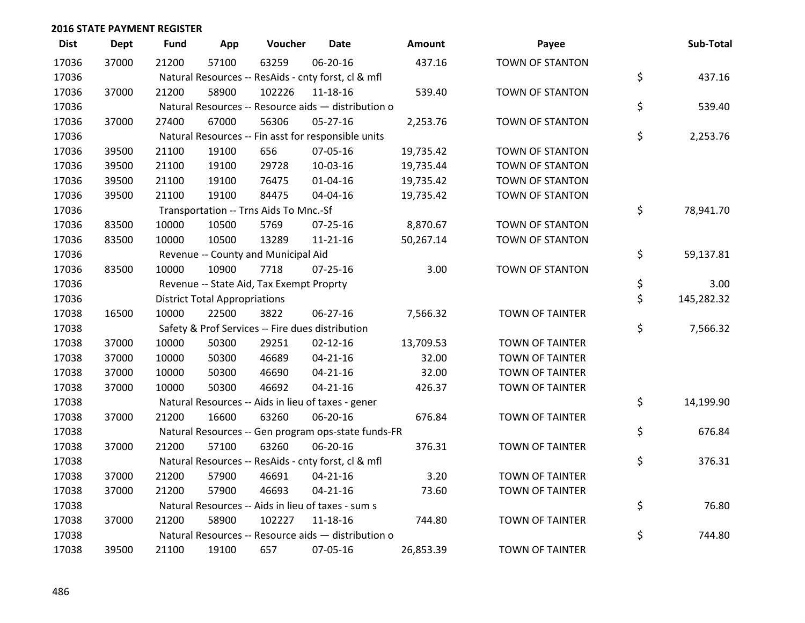| <b>Dist</b> | <b>Dept</b> | <b>Fund</b> | App                                  | Voucher                                             | <b>Date</b>    | Amount    | Payee                  | Sub-Total        |
|-------------|-------------|-------------|--------------------------------------|-----------------------------------------------------|----------------|-----------|------------------------|------------------|
| 17036       | 37000       | 21200       | 57100                                | 63259                                               | 06-20-16       | 437.16    | <b>TOWN OF STANTON</b> |                  |
| 17036       |             |             |                                      | Natural Resources -- ResAids - cnty forst, cl & mfl |                |           |                        | \$<br>437.16     |
| 17036       | 37000       | 21200       | 58900                                | 102226                                              | 11-18-16       | 539.40    | <b>TOWN OF STANTON</b> |                  |
| 17036       |             |             |                                      | Natural Resources -- Resource aids - distribution o |                |           |                        | \$<br>539.40     |
| 17036       | 37000       | 27400       | 67000                                | 56306                                               | $05 - 27 - 16$ | 2,253.76  | TOWN OF STANTON        |                  |
| 17036       |             |             |                                      | Natural Resources -- Fin asst for responsible units |                |           |                        | \$<br>2,253.76   |
| 17036       | 39500       | 21100       | 19100                                | 656                                                 | 07-05-16       | 19,735.42 | TOWN OF STANTON        |                  |
| 17036       | 39500       | 21100       | 19100                                | 29728                                               | 10-03-16       | 19,735.44 | <b>TOWN OF STANTON</b> |                  |
| 17036       | 39500       | 21100       | 19100                                | 76475                                               | $01 - 04 - 16$ | 19,735.42 | TOWN OF STANTON        |                  |
| 17036       | 39500       | 21100       | 19100                                | 84475                                               | 04-04-16       | 19,735.42 | TOWN OF STANTON        |                  |
| 17036       |             |             |                                      | Transportation -- Trns Aids To Mnc.-Sf              |                |           |                        | \$<br>78,941.70  |
| 17036       | 83500       | 10000       | 10500                                | 5769                                                | $07 - 25 - 16$ | 8,870.67  | <b>TOWN OF STANTON</b> |                  |
| 17036       | 83500       | 10000       | 10500                                | 13289                                               | $11 - 21 - 16$ | 50,267.14 | TOWN OF STANTON        |                  |
| 17036       |             |             |                                      | Revenue -- County and Municipal Aid                 |                |           |                        | \$<br>59,137.81  |
| 17036       | 83500       | 10000       | 10900                                | 7718                                                | $07 - 25 - 16$ | 3.00      | <b>TOWN OF STANTON</b> |                  |
| 17036       |             |             |                                      | Revenue -- State Aid, Tax Exempt Proprty            |                |           |                        | \$<br>3.00       |
| 17036       |             |             | <b>District Total Appropriations</b> |                                                     |                |           |                        | \$<br>145,282.32 |
| 17038       | 16500       | 10000       | 22500                                | 3822                                                | 06-27-16       | 7,566.32  | <b>TOWN OF TAINTER</b> |                  |
| 17038       |             |             |                                      | Safety & Prof Services -- Fire dues distribution    |                |           |                        | \$<br>7,566.32   |
| 17038       | 37000       | 10000       | 50300                                | 29251                                               | $02 - 12 - 16$ | 13,709.53 | <b>TOWN OF TAINTER</b> |                  |
| 17038       | 37000       | 10000       | 50300                                | 46689                                               | $04 - 21 - 16$ | 32.00     | <b>TOWN OF TAINTER</b> |                  |
| 17038       | 37000       | 10000       | 50300                                | 46690                                               | $04 - 21 - 16$ | 32.00     | <b>TOWN OF TAINTER</b> |                  |
| 17038       | 37000       | 10000       | 50300                                | 46692                                               | $04 - 21 - 16$ | 426.37    | <b>TOWN OF TAINTER</b> |                  |
| 17038       |             |             |                                      | Natural Resources -- Aids in lieu of taxes - gener  |                |           |                        | \$<br>14,199.90  |
| 17038       | 37000       | 21200       | 16600                                | 63260                                               | 06-20-16       | 676.84    | <b>TOWN OF TAINTER</b> |                  |
| 17038       |             |             |                                      | Natural Resources -- Gen program ops-state funds-FR |                |           |                        | \$<br>676.84     |
| 17038       | 37000       | 21200       | 57100                                | 63260                                               | 06-20-16       | 376.31    | <b>TOWN OF TAINTER</b> |                  |
| 17038       |             |             |                                      | Natural Resources -- ResAids - cnty forst, cl & mfl |                |           |                        | \$<br>376.31     |
| 17038       | 37000       | 21200       | 57900                                | 46691                                               | $04 - 21 - 16$ | 3.20      | <b>TOWN OF TAINTER</b> |                  |
| 17038       | 37000       | 21200       | 57900                                | 46693                                               | $04 - 21 - 16$ | 73.60     | <b>TOWN OF TAINTER</b> |                  |
| 17038       |             |             |                                      | Natural Resources -- Aids in lieu of taxes - sum s  |                |           |                        | \$<br>76.80      |
| 17038       | 37000       | 21200       | 58900                                | 102227                                              | $11 - 18 - 16$ | 744.80    | <b>TOWN OF TAINTER</b> |                  |
| 17038       |             |             |                                      | Natural Resources -- Resource aids - distribution o |                |           |                        | \$<br>744.80     |
| 17038       | 39500       | 21100       | 19100                                | 657                                                 | 07-05-16       | 26,853.39 | <b>TOWN OF TAINTER</b> |                  |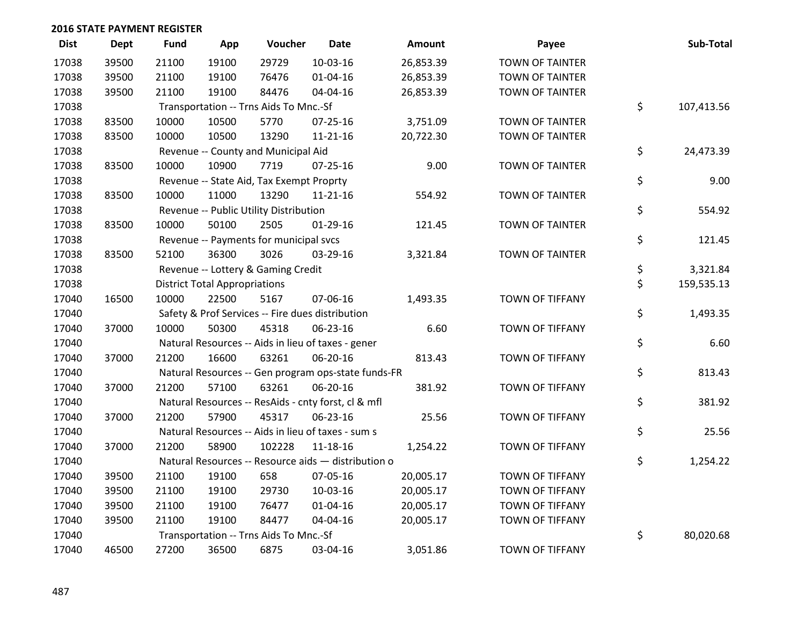| <b>Dist</b> | <b>Dept</b> | <b>Fund</b> | App                                  | Voucher                                  | <b>Date</b>                                         | <b>Amount</b> | Payee                  | Sub-Total        |
|-------------|-------------|-------------|--------------------------------------|------------------------------------------|-----------------------------------------------------|---------------|------------------------|------------------|
| 17038       | 39500       | 21100       | 19100                                | 29729                                    | $10-03-16$                                          | 26,853.39     | <b>TOWN OF TAINTER</b> |                  |
| 17038       | 39500       | 21100       | 19100                                | 76476                                    | $01 - 04 - 16$                                      | 26,853.39     | <b>TOWN OF TAINTER</b> |                  |
| 17038       | 39500       | 21100       | 19100                                | 84476                                    | 04-04-16                                            | 26,853.39     | <b>TOWN OF TAINTER</b> |                  |
| 17038       |             |             |                                      | Transportation -- Trns Aids To Mnc.-Sf   |                                                     |               |                        | \$<br>107,413.56 |
| 17038       | 83500       | 10000       | 10500                                | 5770                                     | 07-25-16                                            | 3,751.09      | <b>TOWN OF TAINTER</b> |                  |
| 17038       | 83500       | 10000       | 10500                                | 13290                                    | $11 - 21 - 16$                                      | 20,722.30     | <b>TOWN OF TAINTER</b> |                  |
| 17038       |             |             |                                      | Revenue -- County and Municipal Aid      |                                                     |               |                        | \$<br>24,473.39  |
| 17038       | 83500       | 10000       | 10900                                | 7719                                     | $07 - 25 - 16$                                      | 9.00          | <b>TOWN OF TAINTER</b> |                  |
| 17038       |             |             |                                      | Revenue -- State Aid, Tax Exempt Proprty |                                                     |               |                        | \$<br>9.00       |
| 17038       | 83500       | 10000       | 11000                                | 13290                                    | $11 - 21 - 16$                                      | 554.92        | <b>TOWN OF TAINTER</b> |                  |
| 17038       |             |             |                                      | Revenue -- Public Utility Distribution   |                                                     |               |                        | \$<br>554.92     |
| 17038       | 83500       | 10000       | 50100                                | 2505                                     | 01-29-16                                            | 121.45        | <b>TOWN OF TAINTER</b> |                  |
| 17038       |             |             |                                      | Revenue -- Payments for municipal svcs   |                                                     |               |                        | \$<br>121.45     |
| 17038       | 83500       | 52100       | 36300                                | 3026                                     | 03-29-16                                            | 3,321.84      | <b>TOWN OF TAINTER</b> |                  |
| 17038       |             |             |                                      | Revenue -- Lottery & Gaming Credit       |                                                     |               |                        | \$<br>3,321.84   |
| 17038       |             |             | <b>District Total Appropriations</b> |                                          |                                                     |               |                        | \$<br>159,535.13 |
| 17040       | 16500       | 10000       | 22500                                | 5167                                     | 07-06-16                                            | 1,493.35      | TOWN OF TIFFANY        |                  |
| 17040       |             |             |                                      |                                          | Safety & Prof Services -- Fire dues distribution    |               |                        | \$<br>1,493.35   |
| 17040       | 37000       | 10000       | 50300                                | 45318                                    | 06-23-16                                            | 6.60          | TOWN OF TIFFANY        |                  |
| 17040       |             |             |                                      |                                          | Natural Resources -- Aids in lieu of taxes - gener  |               |                        | \$<br>6.60       |
| 17040       | 37000       | 21200       | 16600                                | 63261                                    | 06-20-16                                            | 813.43        | TOWN OF TIFFANY        |                  |
| 17040       |             |             |                                      |                                          | Natural Resources -- Gen program ops-state funds-FR |               |                        | \$<br>813.43     |
| 17040       | 37000       | 21200       | 57100                                | 63261                                    | 06-20-16                                            | 381.92        | TOWN OF TIFFANY        |                  |
| 17040       |             |             |                                      |                                          | Natural Resources -- ResAids - cnty forst, cl & mfl |               |                        | \$<br>381.92     |
| 17040       | 37000       | 21200       | 57900                                | 45317                                    | 06-23-16                                            | 25.56         | <b>TOWN OF TIFFANY</b> |                  |
| 17040       |             |             |                                      |                                          | Natural Resources -- Aids in lieu of taxes - sum s  |               |                        | \$<br>25.56      |
| 17040       | 37000       | 21200       | 58900                                | 102228                                   | $11 - 18 - 16$                                      | 1,254.22      | <b>TOWN OF TIFFANY</b> |                  |
| 17040       |             |             |                                      |                                          | Natural Resources -- Resource aids - distribution o |               |                        | \$<br>1,254.22   |
| 17040       | 39500       | 21100       | 19100                                | 658                                      | 07-05-16                                            | 20,005.17     | <b>TOWN OF TIFFANY</b> |                  |
| 17040       | 39500       | 21100       | 19100                                | 29730                                    | 10-03-16                                            | 20,005.17     | TOWN OF TIFFANY        |                  |
| 17040       | 39500       | 21100       | 19100                                | 76477                                    | $01 - 04 - 16$                                      | 20,005.17     | TOWN OF TIFFANY        |                  |
| 17040       | 39500       | 21100       | 19100                                | 84477                                    | 04-04-16                                            | 20,005.17     | TOWN OF TIFFANY        |                  |
| 17040       |             |             |                                      | Transportation -- Trns Aids To Mnc.-Sf   |                                                     |               |                        | \$<br>80,020.68  |
| 17040       | 46500       | 27200       | 36500                                | 6875                                     | 03-04-16                                            | 3,051.86      | <b>TOWN OF TIFFANY</b> |                  |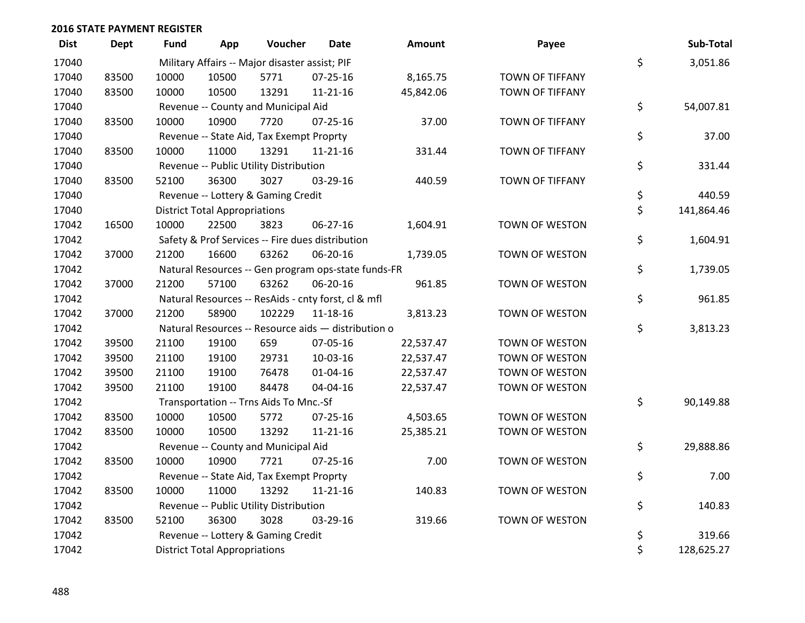| <b>Dist</b> | <b>Dept</b> | <b>Fund</b> | App                                  | Voucher                                        | Date                                                | <b>Amount</b> | Payee                  | Sub-Total        |
|-------------|-------------|-------------|--------------------------------------|------------------------------------------------|-----------------------------------------------------|---------------|------------------------|------------------|
| 17040       |             |             |                                      | Military Affairs -- Major disaster assist; PIF |                                                     |               |                        | \$<br>3,051.86   |
| 17040       | 83500       | 10000       | 10500                                | 5771                                           | 07-25-16                                            | 8,165.75      | <b>TOWN OF TIFFANY</b> |                  |
| 17040       | 83500       | 10000       | 10500                                | 13291                                          | $11 - 21 - 16$                                      | 45,842.06     | <b>TOWN OF TIFFANY</b> |                  |
| 17040       |             |             |                                      | Revenue -- County and Municipal Aid            |                                                     |               |                        | \$<br>54,007.81  |
| 17040       | 83500       | 10000       | 10900                                | 7720                                           | $07 - 25 - 16$                                      | 37.00         | TOWN OF TIFFANY        |                  |
| 17040       |             |             |                                      | Revenue -- State Aid, Tax Exempt Proprty       |                                                     |               |                        | \$<br>37.00      |
| 17040       | 83500       | 10000       | 11000                                | 13291                                          | $11 - 21 - 16$                                      | 331.44        | TOWN OF TIFFANY        |                  |
| 17040       |             |             |                                      | Revenue -- Public Utility Distribution         |                                                     |               |                        | \$<br>331.44     |
| 17040       | 83500       | 52100       | 36300                                | 3027                                           | 03-29-16                                            | 440.59        | <b>TOWN OF TIFFANY</b> |                  |
| 17040       |             |             |                                      | Revenue -- Lottery & Gaming Credit             |                                                     |               |                        | \$<br>440.59     |
| 17040       |             |             | <b>District Total Appropriations</b> |                                                |                                                     |               |                        | \$<br>141,864.46 |
| 17042       | 16500       | 10000       | 22500                                | 3823                                           | 06-27-16                                            | 1,604.91      | TOWN OF WESTON         |                  |
| 17042       |             |             |                                      |                                                | Safety & Prof Services -- Fire dues distribution    |               |                        | \$<br>1,604.91   |
| 17042       | 37000       | 21200       | 16600                                | 63262                                          | 06-20-16                                            | 1,739.05      | TOWN OF WESTON         |                  |
| 17042       |             |             |                                      |                                                | Natural Resources -- Gen program ops-state funds-FR |               |                        | \$<br>1,739.05   |
| 17042       | 37000       | 21200       | 57100                                | 63262                                          | 06-20-16                                            | 961.85        | <b>TOWN OF WESTON</b>  |                  |
| 17042       |             |             |                                      |                                                | Natural Resources -- ResAids - cnty forst, cl & mfl |               |                        | \$<br>961.85     |
| 17042       | 37000       | 21200       | 58900                                | 102229                                         | $11 - 18 - 16$                                      | 3,813.23      | TOWN OF WESTON         |                  |
| 17042       |             |             |                                      |                                                | Natural Resources -- Resource aids - distribution o |               |                        | \$<br>3,813.23   |
| 17042       | 39500       | 21100       | 19100                                | 659                                            | 07-05-16                                            | 22,537.47     | TOWN OF WESTON         |                  |
| 17042       | 39500       | 21100       | 19100                                | 29731                                          | 10-03-16                                            | 22,537.47     | <b>TOWN OF WESTON</b>  |                  |
| 17042       | 39500       | 21100       | 19100                                | 76478                                          | $01 - 04 - 16$                                      | 22,537.47     | TOWN OF WESTON         |                  |
| 17042       | 39500       | 21100       | 19100                                | 84478                                          | 04-04-16                                            | 22,537.47     | TOWN OF WESTON         |                  |
| 17042       |             |             |                                      | Transportation -- Trns Aids To Mnc.-Sf         |                                                     |               |                        | \$<br>90,149.88  |
| 17042       | 83500       | 10000       | 10500                                | 5772                                           | $07 - 25 - 16$                                      | 4,503.65      | TOWN OF WESTON         |                  |
| 17042       | 83500       | 10000       | 10500                                | 13292                                          | $11 - 21 - 16$                                      | 25,385.21     | TOWN OF WESTON         |                  |
| 17042       |             |             |                                      | Revenue -- County and Municipal Aid            |                                                     |               |                        | \$<br>29,888.86  |
| 17042       | 83500       | 10000       | 10900                                | 7721                                           | $07 - 25 - 16$                                      | 7.00          | TOWN OF WESTON         |                  |
| 17042       |             |             |                                      | Revenue -- State Aid, Tax Exempt Proprty       |                                                     |               |                        | \$<br>7.00       |
| 17042       | 83500       | 10000       | 11000                                | 13292                                          | $11 - 21 - 16$                                      | 140.83        | TOWN OF WESTON         |                  |
| 17042       |             |             |                                      | Revenue -- Public Utility Distribution         |                                                     |               |                        | \$<br>140.83     |
| 17042       | 83500       | 52100       | 36300                                | 3028                                           | 03-29-16                                            | 319.66        | TOWN OF WESTON         |                  |
| 17042       |             |             |                                      | Revenue -- Lottery & Gaming Credit             |                                                     |               |                        | \$<br>319.66     |
| 17042       |             |             | <b>District Total Appropriations</b> |                                                |                                                     |               |                        | \$<br>128,625.27 |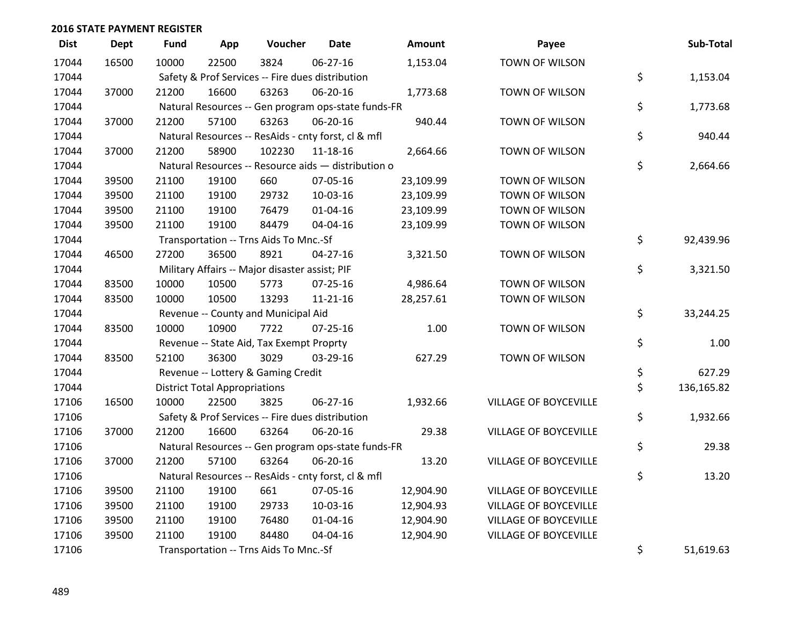| <b>Dist</b> | Dept  | <b>Fund</b> | App                                  | Voucher                                             | <b>Date</b>    | Amount    | Payee                        | Sub-Total        |
|-------------|-------|-------------|--------------------------------------|-----------------------------------------------------|----------------|-----------|------------------------------|------------------|
| 17044       | 16500 | 10000       | 22500                                | 3824                                                | 06-27-16       | 1,153.04  | TOWN OF WILSON               |                  |
| 17044       |       |             |                                      | Safety & Prof Services -- Fire dues distribution    |                |           |                              | \$<br>1,153.04   |
| 17044       | 37000 | 21200       | 16600                                | 63263                                               | 06-20-16       | 1,773.68  | TOWN OF WILSON               |                  |
| 17044       |       |             |                                      | Natural Resources -- Gen program ops-state funds-FR |                |           |                              | \$<br>1,773.68   |
| 17044       | 37000 | 21200       | 57100                                | 63263                                               | 06-20-16       | 940.44    | TOWN OF WILSON               |                  |
| 17044       |       |             |                                      | Natural Resources -- ResAids - cnty forst, cl & mfl |                |           |                              | \$<br>940.44     |
| 17044       | 37000 | 21200       | 58900                                | 102230                                              | 11-18-16       | 2,664.66  | TOWN OF WILSON               |                  |
| 17044       |       |             |                                      | Natural Resources -- Resource aids - distribution o |                |           |                              | \$<br>2,664.66   |
| 17044       | 39500 | 21100       | 19100                                | 660                                                 | 07-05-16       | 23,109.99 | TOWN OF WILSON               |                  |
| 17044       | 39500 | 21100       | 19100                                | 29732                                               | 10-03-16       | 23,109.99 | TOWN OF WILSON               |                  |
| 17044       | 39500 | 21100       | 19100                                | 76479                                               | $01 - 04 - 16$ | 23,109.99 | TOWN OF WILSON               |                  |
| 17044       | 39500 | 21100       | 19100                                | 84479                                               | 04-04-16       | 23,109.99 | TOWN OF WILSON               |                  |
| 17044       |       |             |                                      | Transportation -- Trns Aids To Mnc.-Sf              |                |           |                              | \$<br>92,439.96  |
| 17044       | 46500 | 27200       | 36500                                | 8921                                                | 04-27-16       | 3,321.50  | TOWN OF WILSON               |                  |
| 17044       |       |             |                                      | Military Affairs -- Major disaster assist; PIF      |                |           |                              | \$<br>3,321.50   |
| 17044       | 83500 | 10000       | 10500                                | 5773                                                | 07-25-16       | 4,986.64  | TOWN OF WILSON               |                  |
| 17044       | 83500 | 10000       | 10500                                | 13293                                               | 11-21-16       | 28,257.61 | TOWN OF WILSON               |                  |
| 17044       |       |             |                                      | Revenue -- County and Municipal Aid                 |                |           |                              | \$<br>33,244.25  |
| 17044       | 83500 | 10000       | 10900                                | 7722                                                | $07 - 25 - 16$ | 1.00      | TOWN OF WILSON               |                  |
| 17044       |       |             |                                      | Revenue -- State Aid, Tax Exempt Proprty            |                |           |                              | \$<br>1.00       |
| 17044       | 83500 | 52100       | 36300                                | 3029                                                | 03-29-16       | 627.29    | TOWN OF WILSON               |                  |
| 17044       |       |             |                                      | Revenue -- Lottery & Gaming Credit                  |                |           |                              | \$<br>627.29     |
| 17044       |       |             | <b>District Total Appropriations</b> |                                                     |                |           |                              | \$<br>136,165.82 |
| 17106       | 16500 | 10000       | 22500                                | 3825                                                | 06-27-16       | 1,932.66  | VILLAGE OF BOYCEVILLE        |                  |
| 17106       |       |             |                                      | Safety & Prof Services -- Fire dues distribution    |                |           |                              | \$<br>1,932.66   |
| 17106       | 37000 | 21200       | 16600                                | 63264                                               | 06-20-16       | 29.38     | VILLAGE OF BOYCEVILLE        |                  |
| 17106       |       |             |                                      | Natural Resources -- Gen program ops-state funds-FR |                |           |                              | \$<br>29.38      |
| 17106       | 37000 | 21200       | 57100                                | 63264                                               | 06-20-16       | 13.20     | VILLAGE OF BOYCEVILLE        |                  |
| 17106       |       |             |                                      | Natural Resources -- ResAids - cnty forst, cl & mfl |                |           |                              | \$<br>13.20      |
| 17106       | 39500 | 21100       | 19100                                | 661                                                 | 07-05-16       | 12,904.90 | VILLAGE OF BOYCEVILLE        |                  |
| 17106       | 39500 | 21100       | 19100                                | 29733                                               | 10-03-16       | 12,904.93 | <b>VILLAGE OF BOYCEVILLE</b> |                  |
| 17106       | 39500 | 21100       | 19100                                | 76480                                               | $01 - 04 - 16$ | 12,904.90 | VILLAGE OF BOYCEVILLE        |                  |
| 17106       | 39500 | 21100       | 19100                                | 84480                                               | 04-04-16       | 12,904.90 | VILLAGE OF BOYCEVILLE        |                  |
| 17106       |       |             |                                      | Transportation -- Trns Aids To Mnc.-Sf              |                |           |                              | \$<br>51,619.63  |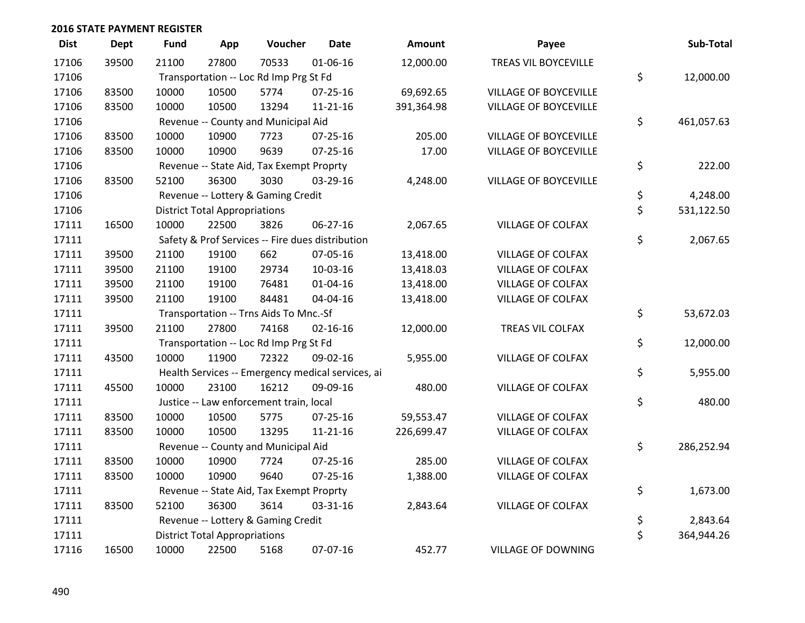| <b>Dist</b> | <b>Dept</b> | <b>Fund</b> | App                                  | Voucher                                           | <b>Date</b>    | Amount     | Payee                        | Sub-Total        |
|-------------|-------------|-------------|--------------------------------------|---------------------------------------------------|----------------|------------|------------------------------|------------------|
| 17106       | 39500       | 21100       | 27800                                | 70533                                             | 01-06-16       | 12,000.00  | TREAS VIL BOYCEVILLE         |                  |
| 17106       |             |             |                                      | Transportation -- Loc Rd Imp Prg St Fd            |                |            |                              | \$<br>12,000.00  |
| 17106       | 83500       | 10000       | 10500                                | 5774                                              | 07-25-16       | 69,692.65  | <b>VILLAGE OF BOYCEVILLE</b> |                  |
| 17106       | 83500       | 10000       | 10500                                | 13294                                             | $11 - 21 - 16$ | 391,364.98 | VILLAGE OF BOYCEVILLE        |                  |
| 17106       |             |             |                                      | Revenue -- County and Municipal Aid               |                |            |                              | \$<br>461,057.63 |
| 17106       | 83500       | 10000       | 10900                                | 7723                                              | $07 - 25 - 16$ | 205.00     | <b>VILLAGE OF BOYCEVILLE</b> |                  |
| 17106       | 83500       | 10000       | 10900                                | 9639                                              | $07 - 25 - 16$ | 17.00      | VILLAGE OF BOYCEVILLE        |                  |
| 17106       |             |             |                                      | Revenue -- State Aid, Tax Exempt Proprty          |                |            |                              | \$<br>222.00     |
| 17106       | 83500       | 52100       | 36300                                | 3030                                              | 03-29-16       | 4,248.00   | <b>VILLAGE OF BOYCEVILLE</b> |                  |
| 17106       |             |             |                                      | Revenue -- Lottery & Gaming Credit                |                |            |                              | \$<br>4,248.00   |
| 17106       |             |             | <b>District Total Appropriations</b> |                                                   |                |            |                              | \$<br>531,122.50 |
| 17111       | 16500       | 10000       | 22500                                | 3826                                              | $06 - 27 - 16$ | 2,067.65   | VILLAGE OF COLFAX            |                  |
| 17111       |             |             |                                      | Safety & Prof Services -- Fire dues distribution  |                |            |                              | \$<br>2,067.65   |
| 17111       | 39500       | 21100       | 19100                                | 662                                               | 07-05-16       | 13,418.00  | VILLAGE OF COLFAX            |                  |
| 17111       | 39500       | 21100       | 19100                                | 29734                                             | 10-03-16       | 13,418.03  | <b>VILLAGE OF COLFAX</b>     |                  |
| 17111       | 39500       | 21100       | 19100                                | 76481                                             | 01-04-16       | 13,418.00  | VILLAGE OF COLFAX            |                  |
| 17111       | 39500       | 21100       | 19100                                | 84481                                             | 04-04-16       | 13,418.00  | VILLAGE OF COLFAX            |                  |
| 17111       |             |             |                                      | Transportation -- Trns Aids To Mnc.-Sf            |                |            |                              | \$<br>53,672.03  |
| 17111       | 39500       | 21100       | 27800                                | 74168                                             | $02 - 16 - 16$ | 12,000.00  | TREAS VIL COLFAX             |                  |
| 17111       |             |             |                                      | Transportation -- Loc Rd Imp Prg St Fd            |                |            |                              | \$<br>12,000.00  |
| 17111       | 43500       | 10000       | 11900                                | 72322                                             | 09-02-16       | 5,955.00   | VILLAGE OF COLFAX            |                  |
| 17111       |             |             |                                      | Health Services -- Emergency medical services, ai |                |            |                              | \$<br>5,955.00   |
| 17111       | 45500       | 10000       | 23100                                | 16212                                             | 09-09-16       | 480.00     | VILLAGE OF COLFAX            |                  |
| 17111       |             |             |                                      | Justice -- Law enforcement train, local           |                |            |                              | \$<br>480.00     |
| 17111       | 83500       | 10000       | 10500                                | 5775                                              | $07 - 25 - 16$ | 59,553.47  | <b>VILLAGE OF COLFAX</b>     |                  |
| 17111       | 83500       | 10000       | 10500                                | 13295                                             | $11 - 21 - 16$ | 226,699.47 | VILLAGE OF COLFAX            |                  |
| 17111       |             |             |                                      | Revenue -- County and Municipal Aid               |                |            |                              | \$<br>286,252.94 |
| 17111       | 83500       | 10000       | 10900                                | 7724                                              | 07-25-16       | 285.00     | VILLAGE OF COLFAX            |                  |
| 17111       | 83500       | 10000       | 10900                                | 9640                                              | $07 - 25 - 16$ | 1,388.00   | VILLAGE OF COLFAX            |                  |
| 17111       |             |             |                                      | Revenue -- State Aid, Tax Exempt Proprty          |                |            |                              | \$<br>1,673.00   |
| 17111       | 83500       | 52100       | 36300                                | 3614                                              | 03-31-16       | 2,843.64   | VILLAGE OF COLFAX            |                  |
| 17111       |             |             |                                      | Revenue -- Lottery & Gaming Credit                |                |            |                              | \$<br>2,843.64   |
| 17111       |             |             | <b>District Total Appropriations</b> |                                                   |                |            |                              | \$<br>364,944.26 |
| 17116       | 16500       | 10000       | 22500                                | 5168                                              | 07-07-16       | 452.77     | <b>VILLAGE OF DOWNING</b>    |                  |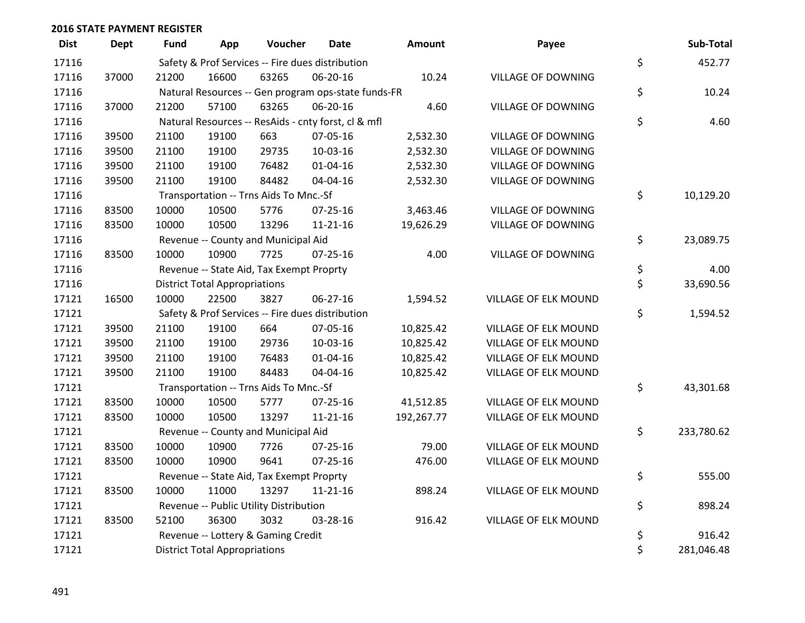| <b>Dist</b> | <b>Dept</b> | <b>Fund</b>                                         | App                                                 | Voucher                                          | <b>Date</b>    | Amount     | Payee                     |    | Sub-Total  |  |
|-------------|-------------|-----------------------------------------------------|-----------------------------------------------------|--------------------------------------------------|----------------|------------|---------------------------|----|------------|--|
| 17116       |             | Safety & Prof Services -- Fire dues distribution    |                                                     |                                                  |                |            |                           |    | 452.77     |  |
| 17116       | 37000       | 21200                                               | 16600                                               | 63265                                            | 06-20-16       | 10.24      | <b>VILLAGE OF DOWNING</b> | \$ |            |  |
| 17116       |             | Natural Resources -- Gen program ops-state funds-FR | \$                                                  | 10.24                                            |                |            |                           |    |            |  |
| 17116       | 37000       | 21200                                               | 57100                                               | 63265                                            | 06-20-16       | 4.60       | <b>VILLAGE OF DOWNING</b> |    |            |  |
| 17116       |             |                                                     | Natural Resources -- ResAids - cnty forst, cl & mfl |                                                  |                |            |                           |    |            |  |
| 17116       | 39500       | 21100                                               | 19100                                               | 663                                              | 07-05-16       | 2,532.30   | <b>VILLAGE OF DOWNING</b> |    |            |  |
| 17116       | 39500       | 21100                                               | 19100                                               | 29735                                            | 10-03-16       | 2,532.30   | <b>VILLAGE OF DOWNING</b> |    |            |  |
| 17116       | 39500       | 21100                                               | 19100                                               | 76482                                            | $01 - 04 - 16$ | 2,532.30   | <b>VILLAGE OF DOWNING</b> |    |            |  |
| 17116       | 39500       | 21100                                               | 19100                                               | 84482                                            | 04-04-16       | 2,532.30   | VILLAGE OF DOWNING        |    |            |  |
| 17116       |             |                                                     |                                                     | Transportation -- Trns Aids To Mnc.-Sf           |                |            |                           | \$ | 10,129.20  |  |
| 17116       | 83500       | 10000                                               | 10500                                               | 5776                                             | $07 - 25 - 16$ | 3,463.46   | <b>VILLAGE OF DOWNING</b> |    |            |  |
| 17116       | 83500       | 10000                                               | 10500                                               | 13296                                            | $11 - 21 - 16$ | 19,626.29  | VILLAGE OF DOWNING        |    |            |  |
| 17116       |             |                                                     |                                                     | Revenue -- County and Municipal Aid              |                |            |                           | \$ | 23,089.75  |  |
| 17116       | 83500       | 10000                                               | 10900                                               | 7725                                             | $07 - 25 - 16$ | 4.00       | <b>VILLAGE OF DOWNING</b> |    |            |  |
| 17116       |             |                                                     |                                                     | Revenue -- State Aid, Tax Exempt Proprty         |                |            |                           | \$ | 4.00       |  |
| 17116       |             |                                                     | <b>District Total Appropriations</b>                |                                                  |                |            |                           | \$ | 33,690.56  |  |
| 17121       | 16500       | 10000                                               | 22500                                               | 3827                                             | 06-27-16       | 1,594.52   | VILLAGE OF ELK MOUND      |    |            |  |
| 17121       |             |                                                     |                                                     | Safety & Prof Services -- Fire dues distribution |                |            |                           | \$ | 1,594.52   |  |
| 17121       | 39500       | 21100                                               | 19100                                               | 664                                              | 07-05-16       | 10,825.42  | VILLAGE OF ELK MOUND      |    |            |  |
| 17121       | 39500       | 21100                                               | 19100                                               | 29736                                            | 10-03-16       | 10,825.42  | VILLAGE OF ELK MOUND      |    |            |  |
| 17121       | 39500       | 21100                                               | 19100                                               | 76483                                            | $01 - 04 - 16$ | 10,825.42  | VILLAGE OF ELK MOUND      |    |            |  |
| 17121       | 39500       | 21100                                               | 19100                                               | 84483                                            | 04-04-16       | 10,825.42  | VILLAGE OF ELK MOUND      |    |            |  |
| 17121       |             |                                                     |                                                     | Transportation -- Trns Aids To Mnc.-Sf           |                |            |                           | \$ | 43,301.68  |  |
| 17121       | 83500       | 10000                                               | 10500                                               | 5777                                             | 07-25-16       | 41,512.85  | VILLAGE OF ELK MOUND      |    |            |  |
| 17121       | 83500       | 10000                                               | 10500                                               | 13297                                            | $11 - 21 - 16$ | 192,267.77 | VILLAGE OF ELK MOUND      |    |            |  |
| 17121       |             |                                                     |                                                     | Revenue -- County and Municipal Aid              |                |            |                           | \$ | 233,780.62 |  |
| 17121       | 83500       | 10000                                               | 10900                                               | 7726                                             | $07 - 25 - 16$ | 79.00      | VILLAGE OF ELK MOUND      |    |            |  |
| 17121       | 83500       | 10000                                               | 10900                                               | 9641                                             | 07-25-16       | 476.00     | VILLAGE OF ELK MOUND      |    |            |  |
| 17121       |             |                                                     |                                                     | Revenue -- State Aid, Tax Exempt Proprty         |                |            |                           | \$ | 555.00     |  |
| 17121       | 83500       | 10000                                               | 11000                                               | 13297                                            | $11 - 21 - 16$ | 898.24     | VILLAGE OF ELK MOUND      |    |            |  |
| 17121       |             | Revenue -- Public Utility Distribution              |                                                     |                                                  |                |            |                           |    | 898.24     |  |
| 17121       | 83500       | 52100                                               | 36300                                               | 3032                                             | 03-28-16       | 916.42     | VILLAGE OF ELK MOUND      |    |            |  |
| 17121       |             |                                                     |                                                     | Revenue -- Lottery & Gaming Credit               |                |            |                           | \$ | 916.42     |  |
| 17121       |             |                                                     | <b>District Total Appropriations</b>                |                                                  |                |            |                           | \$ | 281,046.48 |  |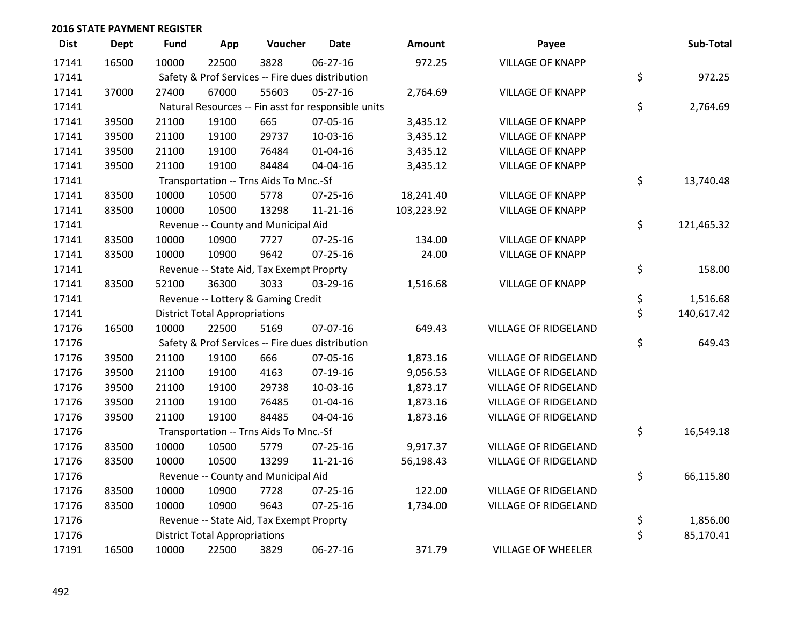| <b>Dist</b> | <b>Dept</b> | <b>Fund</b>                                      | App                                                 | Voucher                                  | <b>Date</b>                                      | Amount     | Payee                       |    | Sub-Total  |  |
|-------------|-------------|--------------------------------------------------|-----------------------------------------------------|------------------------------------------|--------------------------------------------------|------------|-----------------------------|----|------------|--|
| 17141       | 16500       | 10000                                            | 22500                                               | 3828                                     | 06-27-16                                         | 972.25     | <b>VILLAGE OF KNAPP</b>     |    |            |  |
| 17141       |             | Safety & Prof Services -- Fire dues distribution | \$                                                  | 972.25                                   |                                                  |            |                             |    |            |  |
| 17141       | 37000       | 27400                                            | 67000                                               | 55603                                    | $05 - 27 - 16$                                   | 2,764.69   | <b>VILLAGE OF KNAPP</b>     |    |            |  |
| 17141       |             |                                                  | Natural Resources -- Fin asst for responsible units |                                          |                                                  |            |                             |    |            |  |
| 17141       | 39500       | 21100                                            | 19100                                               | 665                                      | 07-05-16                                         | 3,435.12   | <b>VILLAGE OF KNAPP</b>     |    |            |  |
| 17141       | 39500       | 21100                                            | 19100                                               | 29737                                    | $10-03-16$                                       | 3,435.12   | <b>VILLAGE OF KNAPP</b>     |    |            |  |
| 17141       | 39500       | 21100                                            | 19100                                               | 76484                                    | $01 - 04 - 16$                                   | 3,435.12   | <b>VILLAGE OF KNAPP</b>     |    |            |  |
| 17141       | 39500       | 21100                                            | 19100                                               | 84484                                    | 04-04-16                                         | 3,435.12   | <b>VILLAGE OF KNAPP</b>     |    |            |  |
| 17141       |             |                                                  |                                                     | Transportation -- Trns Aids To Mnc.-Sf   |                                                  |            |                             | \$ | 13,740.48  |  |
| 17141       | 83500       | 10000                                            | 10500                                               | 5778                                     | $07 - 25 - 16$                                   | 18,241.40  | <b>VILLAGE OF KNAPP</b>     |    |            |  |
| 17141       | 83500       | 10000                                            | 10500                                               | 13298                                    | $11 - 21 - 16$                                   | 103,223.92 | <b>VILLAGE OF KNAPP</b>     |    |            |  |
| 17141       |             |                                                  |                                                     | Revenue -- County and Municipal Aid      |                                                  |            |                             | \$ | 121,465.32 |  |
| 17141       | 83500       | 10000                                            | 10900                                               | 7727                                     | $07 - 25 - 16$                                   | 134.00     | <b>VILLAGE OF KNAPP</b>     |    |            |  |
| 17141       | 83500       | 10000                                            | 10900                                               | 9642                                     | 07-25-16                                         | 24.00      | <b>VILLAGE OF KNAPP</b>     |    |            |  |
| 17141       |             |                                                  |                                                     | Revenue -- State Aid, Tax Exempt Proprty |                                                  |            |                             | \$ | 158.00     |  |
| 17141       | 83500       | 52100                                            | 36300                                               | 3033                                     | 03-29-16                                         | 1,516.68   | <b>VILLAGE OF KNAPP</b>     |    |            |  |
| 17141       |             |                                                  |                                                     | Revenue -- Lottery & Gaming Credit       |                                                  |            |                             | \$ | 1,516.68   |  |
| 17141       |             |                                                  | <b>District Total Appropriations</b>                |                                          |                                                  |            |                             | \$ | 140,617.42 |  |
| 17176       | 16500       | 10000                                            | 22500                                               | 5169                                     | 07-07-16                                         | 649.43     | <b>VILLAGE OF RIDGELAND</b> |    |            |  |
| 17176       |             |                                                  |                                                     |                                          | Safety & Prof Services -- Fire dues distribution |            |                             | \$ | 649.43     |  |
| 17176       | 39500       | 21100                                            | 19100                                               | 666                                      | 07-05-16                                         | 1,873.16   | <b>VILLAGE OF RIDGELAND</b> |    |            |  |
| 17176       | 39500       | 21100                                            | 19100                                               | 4163                                     | $07-19-16$                                       | 9,056.53   | <b>VILLAGE OF RIDGELAND</b> |    |            |  |
| 17176       | 39500       | 21100                                            | 19100                                               | 29738                                    | 10-03-16                                         | 1,873.17   | <b>VILLAGE OF RIDGELAND</b> |    |            |  |
| 17176       | 39500       | 21100                                            | 19100                                               | 76485                                    | $01 - 04 - 16$                                   | 1,873.16   | <b>VILLAGE OF RIDGELAND</b> |    |            |  |
| 17176       | 39500       | 21100                                            | 19100                                               | 84485                                    | 04-04-16                                         | 1,873.16   | <b>VILLAGE OF RIDGELAND</b> |    |            |  |
| 17176       |             |                                                  |                                                     | Transportation -- Trns Aids To Mnc.-Sf   |                                                  |            |                             | \$ | 16,549.18  |  |
| 17176       | 83500       | 10000                                            | 10500                                               | 5779                                     | $07 - 25 - 16$                                   | 9,917.37   | <b>VILLAGE OF RIDGELAND</b> |    |            |  |
| 17176       | 83500       | 10000                                            | 10500                                               | 13299                                    | $11 - 21 - 16$                                   | 56,198.43  | <b>VILLAGE OF RIDGELAND</b> |    |            |  |
| 17176       |             |                                                  |                                                     | Revenue -- County and Municipal Aid      |                                                  |            |                             | \$ | 66,115.80  |  |
| 17176       | 83500       | 10000                                            | 10900                                               | 7728                                     | 07-25-16                                         | 122.00     | <b>VILLAGE OF RIDGELAND</b> |    |            |  |
| 17176       | 83500       | 10000                                            | 10900                                               | 9643                                     | $07 - 25 - 16$                                   | 1,734.00   | VILLAGE OF RIDGELAND        |    |            |  |
| 17176       |             |                                                  |                                                     | Revenue -- State Aid, Tax Exempt Proprty |                                                  |            |                             | \$ | 1,856.00   |  |
| 17176       |             |                                                  | <b>District Total Appropriations</b>                |                                          |                                                  |            |                             | \$ | 85,170.41  |  |
| 17191       | 16500       | 10000                                            | 22500                                               | 3829                                     | 06-27-16                                         | 371.79     | <b>VILLAGE OF WHEELER</b>   |    |            |  |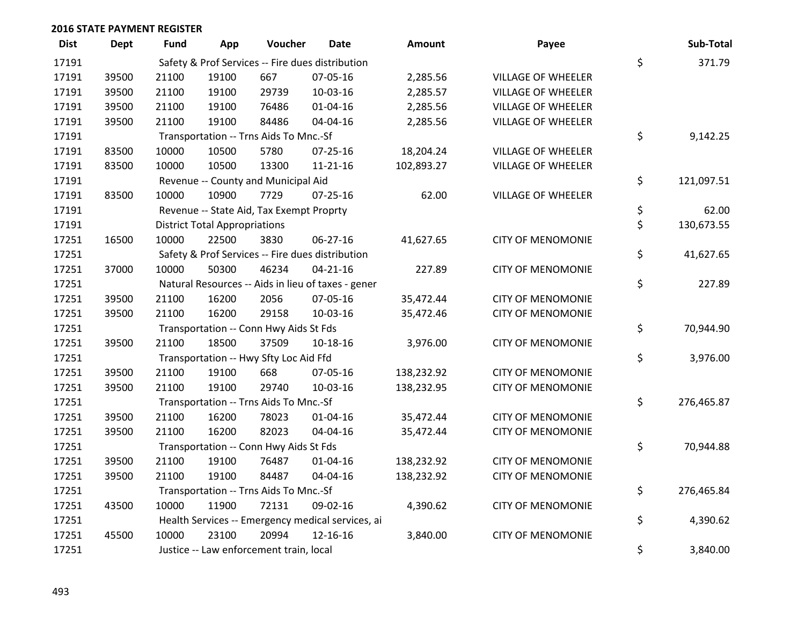| <b>Dist</b> | <b>Dept</b> | <b>Fund</b>                                      | App                                    | Voucher                                  | <b>Date</b>                                        | Amount     | Payee                     |    | Sub-Total  |
|-------------|-------------|--------------------------------------------------|----------------------------------------|------------------------------------------|----------------------------------------------------|------------|---------------------------|----|------------|
| 17191       |             | Safety & Prof Services -- Fire dues distribution |                                        |                                          |                                                    |            |                           |    | 371.79     |
| 17191       | 39500       | 21100                                            | 19100                                  | 667                                      | 07-05-16                                           | 2,285.56   | <b>VILLAGE OF WHEELER</b> | \$ |            |
| 17191       | 39500       | 21100                                            | 19100                                  | 29739                                    | 10-03-16                                           | 2,285.57   | VILLAGE OF WHEELER        |    |            |
| 17191       | 39500       | 21100                                            | 19100                                  | 76486                                    | $01 - 04 - 16$                                     | 2,285.56   | VILLAGE OF WHEELER        |    |            |
| 17191       | 39500       | 21100                                            | 19100                                  | 84486                                    | 04-04-16                                           | 2,285.56   | VILLAGE OF WHEELER        |    |            |
| 17191       |             |                                                  |                                        | Transportation -- Trns Aids To Mnc.-Sf   |                                                    |            |                           | \$ | 9,142.25   |
| 17191       | 83500       | 10000                                            | 10500                                  | 5780                                     | 07-25-16                                           | 18,204.24  | VILLAGE OF WHEELER        |    |            |
| 17191       | 83500       | 10000                                            | 10500                                  | 13300                                    | 11-21-16                                           | 102,893.27 | VILLAGE OF WHEELER        |    |            |
| 17191       |             |                                                  |                                        | Revenue -- County and Municipal Aid      |                                                    |            |                           | \$ | 121,097.51 |
| 17191       | 83500       | 10000                                            | 10900                                  | 7729                                     | $07 - 25 - 16$                                     | 62.00      | <b>VILLAGE OF WHEELER</b> |    |            |
| 17191       |             |                                                  |                                        | Revenue -- State Aid, Tax Exempt Proprty |                                                    |            |                           | \$ | 62.00      |
| 17191       |             |                                                  | <b>District Total Appropriations</b>   |                                          |                                                    |            |                           | \$ | 130,673.55 |
| 17251       | 16500       | 10000                                            | 22500                                  | 3830                                     | 06-27-16                                           | 41,627.65  | <b>CITY OF MENOMONIE</b>  |    |            |
| 17251       |             |                                                  |                                        |                                          | Safety & Prof Services -- Fire dues distribution   |            |                           | \$ | 41,627.65  |
| 17251       | 37000       | 10000                                            | 50300                                  | 46234                                    | $04 - 21 - 16$                                     | 227.89     | <b>CITY OF MENOMONIE</b>  |    |            |
| 17251       |             |                                                  |                                        |                                          | Natural Resources -- Aids in lieu of taxes - gener |            |                           | \$ | 227.89     |
| 17251       | 39500       | 21100                                            | 16200                                  | 2056                                     | 07-05-16                                           | 35,472.44  | <b>CITY OF MENOMONIE</b>  |    |            |
| 17251       | 39500       | 21100                                            | 16200                                  | 29158                                    | 10-03-16                                           | 35,472.46  | <b>CITY OF MENOMONIE</b>  |    |            |
| 17251       |             |                                                  |                                        | Transportation -- Conn Hwy Aids St Fds   |                                                    |            |                           | \$ | 70,944.90  |
| 17251       | 39500       | 21100                                            | 18500                                  | 37509                                    | 10-18-16                                           | 3,976.00   | <b>CITY OF MENOMONIE</b>  |    |            |
| 17251       |             |                                                  | Transportation -- Hwy Sfty Loc Aid Ffd |                                          |                                                    |            |                           |    |            |
| 17251       | 39500       | 21100                                            | 19100                                  | 668                                      | 07-05-16                                           | 138,232.92 | <b>CITY OF MENOMONIE</b>  |    |            |
| 17251       | 39500       | 21100                                            | 19100                                  | 29740                                    | 10-03-16                                           | 138,232.95 | <b>CITY OF MENOMONIE</b>  |    |            |
| 17251       |             |                                                  |                                        | Transportation -- Trns Aids To Mnc.-Sf   |                                                    |            |                           | \$ | 276,465.87 |
| 17251       | 39500       | 21100                                            | 16200                                  | 78023                                    | $01 - 04 - 16$                                     | 35,472.44  | <b>CITY OF MENOMONIE</b>  |    |            |
| 17251       | 39500       | 21100                                            | 16200                                  | 82023                                    | 04-04-16                                           | 35,472.44  | <b>CITY OF MENOMONIE</b>  |    |            |
| 17251       |             |                                                  |                                        | Transportation -- Conn Hwy Aids St Fds   |                                                    |            |                           | \$ | 70,944.88  |
| 17251       | 39500       | 21100                                            | 19100                                  | 76487                                    | $01 - 04 - 16$                                     | 138,232.92 | <b>CITY OF MENOMONIE</b>  |    |            |
| 17251       | 39500       | 21100                                            | 19100                                  | 84487                                    | 04-04-16                                           | 138,232.92 | <b>CITY OF MENOMONIE</b>  |    |            |
| 17251       |             |                                                  |                                        | Transportation -- Trns Aids To Mnc.-Sf   |                                                    |            |                           | \$ | 276,465.84 |
| 17251       | 43500       | 10000                                            | 11900                                  | 72131                                    | 09-02-16                                           | 4,390.62   | <b>CITY OF MENOMONIE</b>  |    |            |
| 17251       |             |                                                  |                                        |                                          | Health Services -- Emergency medical services, ai  |            |                           | \$ | 4,390.62   |
| 17251       | 45500       | 10000                                            | 23100                                  | 20994                                    | 12-16-16                                           | 3,840.00   | <b>CITY OF MENOMONIE</b>  |    |            |
| 17251       |             |                                                  |                                        | Justice -- Law enforcement train, local  |                                                    |            |                           | \$ | 3,840.00   |